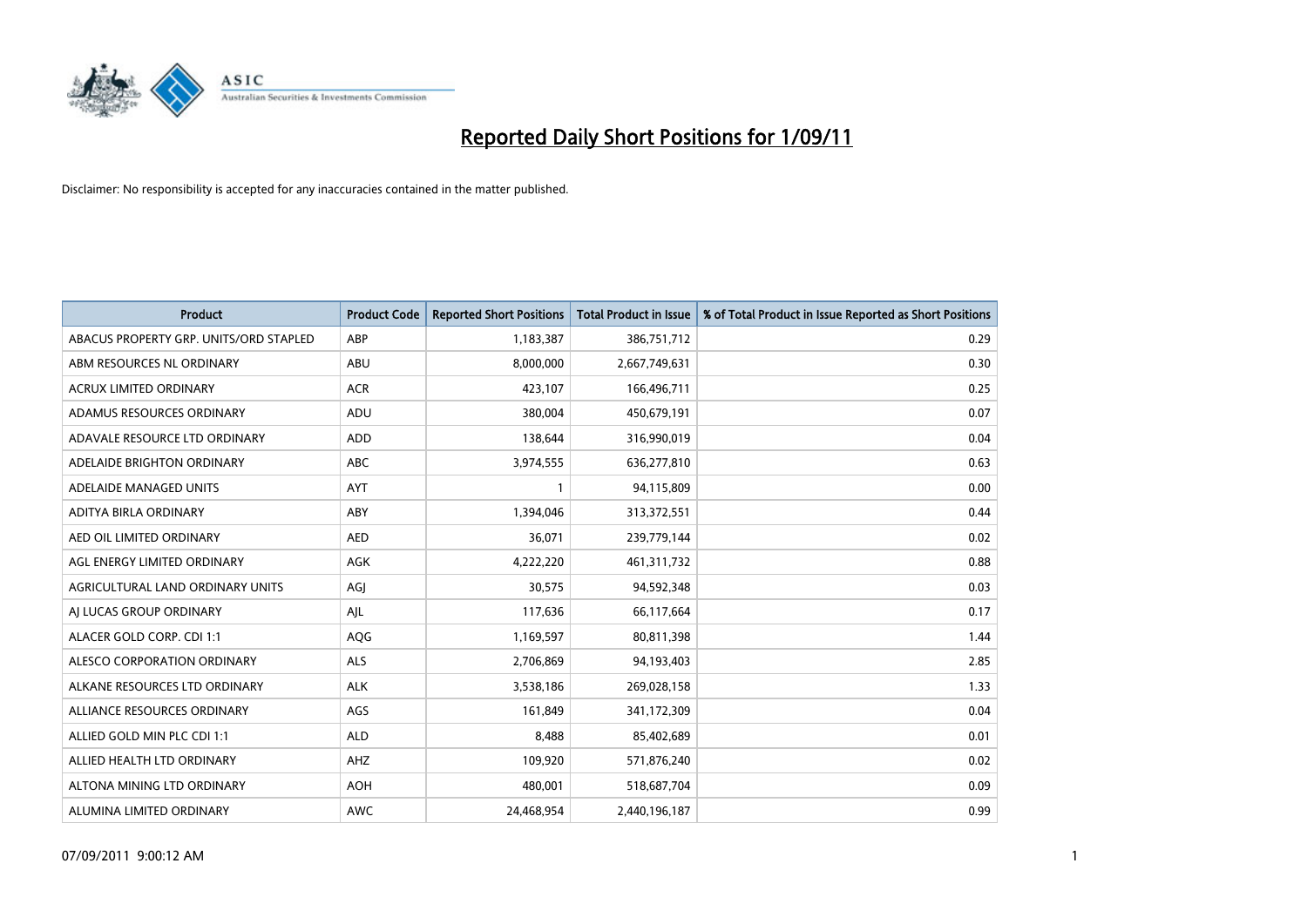

| <b>Product</b>                         | <b>Product Code</b> | <b>Reported Short Positions</b> | <b>Total Product in Issue</b> | % of Total Product in Issue Reported as Short Positions |
|----------------------------------------|---------------------|---------------------------------|-------------------------------|---------------------------------------------------------|
| ABACUS PROPERTY GRP. UNITS/ORD STAPLED | ABP                 | 1,183,387                       | 386,751,712                   | 0.29                                                    |
| ABM RESOURCES NL ORDINARY              | ABU                 | 8,000,000                       | 2,667,749,631                 | 0.30                                                    |
| <b>ACRUX LIMITED ORDINARY</b>          | <b>ACR</b>          | 423,107                         | 166,496,711                   | 0.25                                                    |
| ADAMUS RESOURCES ORDINARY              | ADU                 | 380,004                         | 450,679,191                   | 0.07                                                    |
| ADAVALE RESOURCE LTD ORDINARY          | <b>ADD</b>          | 138,644                         | 316,990,019                   | 0.04                                                    |
| ADELAIDE BRIGHTON ORDINARY             | <b>ABC</b>          | 3,974,555                       | 636,277,810                   | 0.63                                                    |
| ADELAIDE MANAGED UNITS                 | <b>AYT</b>          |                                 | 94,115,809                    | 0.00                                                    |
| ADITYA BIRLA ORDINARY                  | ABY                 | 1,394,046                       | 313,372,551                   | 0.44                                                    |
| AED OIL LIMITED ORDINARY               | <b>AED</b>          | 36,071                          | 239,779,144                   | 0.02                                                    |
| AGL ENERGY LIMITED ORDINARY            | <b>AGK</b>          | 4,222,220                       | 461,311,732                   | 0.88                                                    |
| AGRICULTURAL LAND ORDINARY UNITS       | AGJ                 | 30,575                          | 94,592,348                    | 0.03                                                    |
| AI LUCAS GROUP ORDINARY                | AJL                 | 117,636                         | 66,117,664                    | 0.17                                                    |
| ALACER GOLD CORP. CDI 1:1              | AQG                 | 1,169,597                       | 80,811,398                    | 1.44                                                    |
| ALESCO CORPORATION ORDINARY            | <b>ALS</b>          | 2,706,869                       | 94,193,403                    | 2.85                                                    |
| ALKANE RESOURCES LTD ORDINARY          | <b>ALK</b>          | 3,538,186                       | 269,028,158                   | 1.33                                                    |
| ALLIANCE RESOURCES ORDINARY            | AGS                 | 161,849                         | 341,172,309                   | 0.04                                                    |
| ALLIED GOLD MIN PLC CDI 1:1            | <b>ALD</b>          | 8,488                           | 85,402,689                    | 0.01                                                    |
| ALLIED HEALTH LTD ORDINARY             | AHZ                 | 109,920                         | 571,876,240                   | 0.02                                                    |
| ALTONA MINING LTD ORDINARY             | <b>AOH</b>          | 480,001                         | 518,687,704                   | 0.09                                                    |
| ALUMINA LIMITED ORDINARY               | <b>AWC</b>          | 24.468.954                      | 2,440,196,187                 | 0.99                                                    |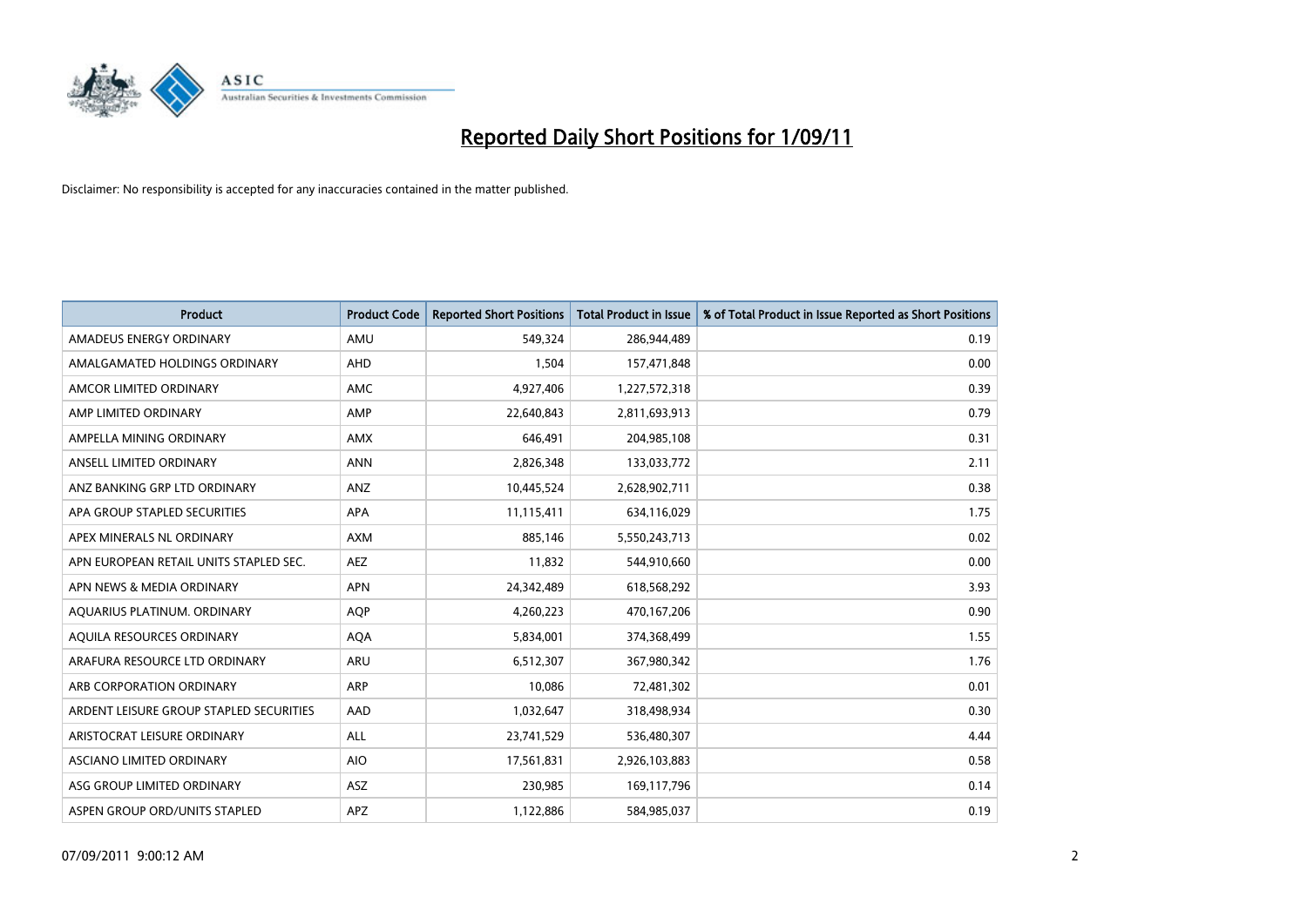

| <b>Product</b>                          | <b>Product Code</b> | <b>Reported Short Positions</b> | <b>Total Product in Issue</b> | % of Total Product in Issue Reported as Short Positions |
|-----------------------------------------|---------------------|---------------------------------|-------------------------------|---------------------------------------------------------|
| AMADEUS ENERGY ORDINARY                 | AMU                 | 549,324                         | 286,944,489                   | 0.19                                                    |
| AMALGAMATED HOLDINGS ORDINARY           | AHD                 | 1,504                           | 157,471,848                   | 0.00                                                    |
| AMCOR LIMITED ORDINARY                  | <b>AMC</b>          | 4,927,406                       | 1,227,572,318                 | 0.39                                                    |
| AMP LIMITED ORDINARY                    | AMP                 | 22,640,843                      | 2,811,693,913                 | 0.79                                                    |
| AMPELLA MINING ORDINARY                 | <b>AMX</b>          | 646,491                         | 204,985,108                   | 0.31                                                    |
| ANSELL LIMITED ORDINARY                 | <b>ANN</b>          | 2,826,348                       | 133,033,772                   | 2.11                                                    |
| ANZ BANKING GRP LTD ORDINARY            | ANZ                 | 10,445,524                      | 2,628,902,711                 | 0.38                                                    |
| APA GROUP STAPLED SECURITIES            | APA                 | 11,115,411                      | 634,116,029                   | 1.75                                                    |
| APEX MINERALS NL ORDINARY               | <b>AXM</b>          | 885,146                         | 5,550,243,713                 | 0.02                                                    |
| APN EUROPEAN RETAIL UNITS STAPLED SEC.  | <b>AEZ</b>          | 11,832                          | 544,910,660                   | 0.00                                                    |
| APN NEWS & MEDIA ORDINARY               | <b>APN</b>          | 24,342,489                      | 618,568,292                   | 3.93                                                    |
| AQUARIUS PLATINUM. ORDINARY             | <b>AOP</b>          | 4,260,223                       | 470,167,206                   | 0.90                                                    |
| AQUILA RESOURCES ORDINARY               | <b>AQA</b>          | 5,834,001                       | 374,368,499                   | 1.55                                                    |
| ARAFURA RESOURCE LTD ORDINARY           | <b>ARU</b>          | 6,512,307                       | 367,980,342                   | 1.76                                                    |
| ARB CORPORATION ORDINARY                | ARP                 | 10,086                          | 72,481,302                    | 0.01                                                    |
| ARDENT LEISURE GROUP STAPLED SECURITIES | AAD                 | 1,032,647                       | 318,498,934                   | 0.30                                                    |
| ARISTOCRAT LEISURE ORDINARY             | <b>ALL</b>          | 23,741,529                      | 536,480,307                   | 4.44                                                    |
| ASCIANO LIMITED ORDINARY                | <b>AIO</b>          | 17,561,831                      | 2,926,103,883                 | 0.58                                                    |
| ASG GROUP LIMITED ORDINARY              | <b>ASZ</b>          | 230,985                         | 169,117,796                   | 0.14                                                    |
| ASPEN GROUP ORD/UNITS STAPLED           | <b>APZ</b>          | 1,122,886                       | 584,985,037                   | 0.19                                                    |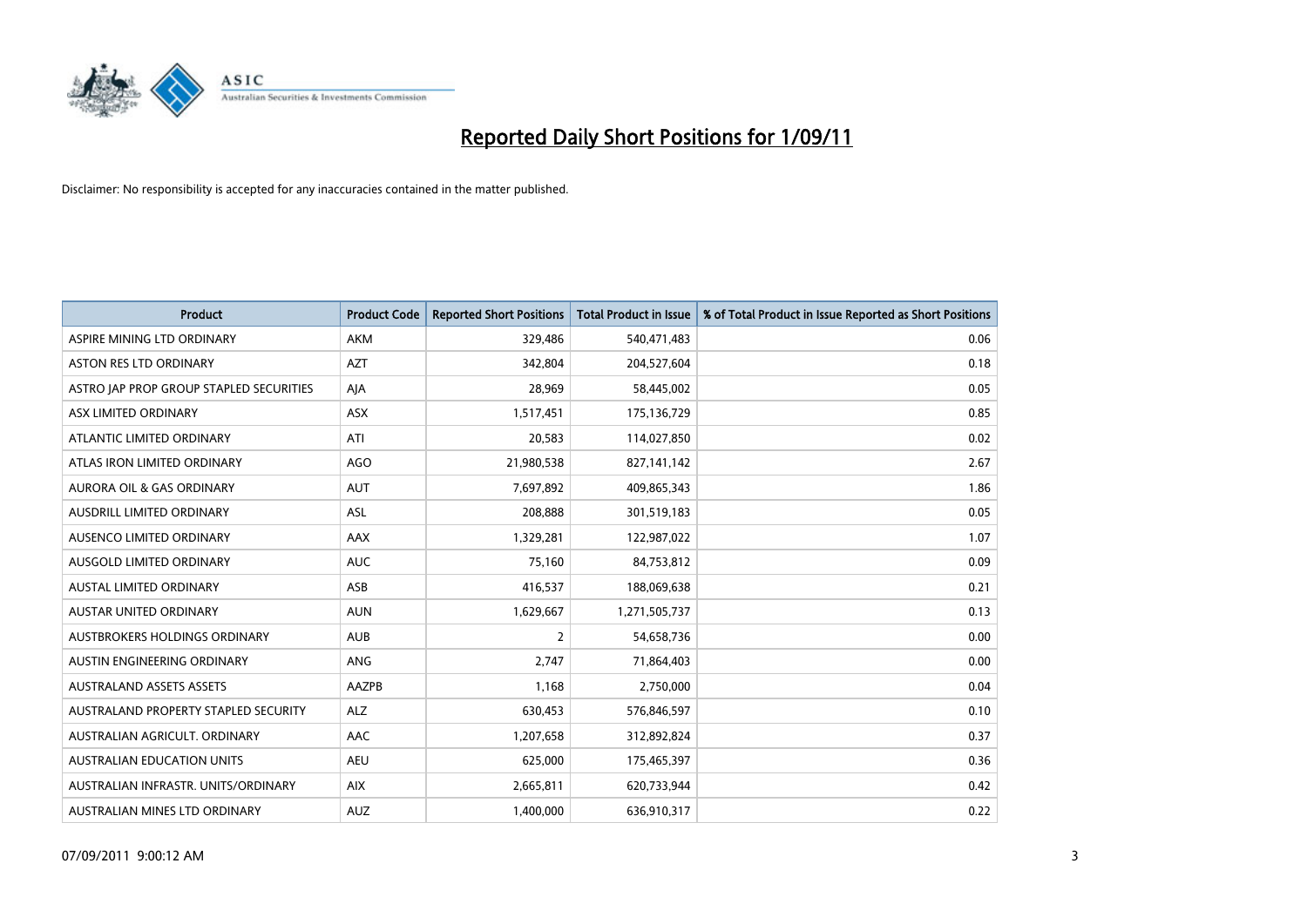

| <b>Product</b>                          | <b>Product Code</b> | <b>Reported Short Positions</b> | <b>Total Product in Issue</b> | % of Total Product in Issue Reported as Short Positions |
|-----------------------------------------|---------------------|---------------------------------|-------------------------------|---------------------------------------------------------|
| ASPIRE MINING LTD ORDINARY              | <b>AKM</b>          | 329,486                         | 540,471,483                   | 0.06                                                    |
| <b>ASTON RES LTD ORDINARY</b>           | <b>AZT</b>          | 342,804                         | 204,527,604                   | 0.18                                                    |
| ASTRO JAP PROP GROUP STAPLED SECURITIES | AJA                 | 28,969                          | 58,445,002                    | 0.05                                                    |
| ASX LIMITED ORDINARY                    | ASX                 | 1,517,451                       | 175,136,729                   | 0.85                                                    |
| ATLANTIC LIMITED ORDINARY               | ATI                 | 20,583                          | 114,027,850                   | 0.02                                                    |
| ATLAS IRON LIMITED ORDINARY             | <b>AGO</b>          | 21,980,538                      | 827,141,142                   | 2.67                                                    |
| <b>AURORA OIL &amp; GAS ORDINARY</b>    | <b>AUT</b>          | 7,697,892                       | 409,865,343                   | 1.86                                                    |
| <b>AUSDRILL LIMITED ORDINARY</b>        | <b>ASL</b>          | 208,888                         | 301,519,183                   | 0.05                                                    |
| AUSENCO LIMITED ORDINARY                | AAX                 | 1,329,281                       | 122,987,022                   | 1.07                                                    |
| AUSGOLD LIMITED ORDINARY                | <b>AUC</b>          | 75,160                          | 84,753,812                    | 0.09                                                    |
| <b>AUSTAL LIMITED ORDINARY</b>          | ASB                 | 416,537                         | 188,069,638                   | 0.21                                                    |
| <b>AUSTAR UNITED ORDINARY</b>           | <b>AUN</b>          | 1,629,667                       | 1,271,505,737                 | 0.13                                                    |
| AUSTBROKERS HOLDINGS ORDINARY           | <b>AUB</b>          | $\overline{2}$                  | 54,658,736                    | 0.00                                                    |
| AUSTIN ENGINEERING ORDINARY             | ANG                 | 2.747                           | 71,864,403                    | 0.00                                                    |
| <b>AUSTRALAND ASSETS ASSETS</b>         | AAZPB               | 1,168                           | 2,750,000                     | 0.04                                                    |
| AUSTRALAND PROPERTY STAPLED SECURITY    | <b>ALZ</b>          | 630,453                         | 576,846,597                   | 0.10                                                    |
| AUSTRALIAN AGRICULT, ORDINARY           | AAC                 | 1,207,658                       | 312,892,824                   | 0.37                                                    |
| AUSTRALIAN EDUCATION UNITS              | <b>AEU</b>          | 625,000                         | 175,465,397                   | 0.36                                                    |
| AUSTRALIAN INFRASTR, UNITS/ORDINARY     | <b>AIX</b>          | 2,665,811                       | 620,733,944                   | 0.42                                                    |
| AUSTRALIAN MINES LTD ORDINARY           | <b>AUZ</b>          | 1,400,000                       | 636,910,317                   | 0.22                                                    |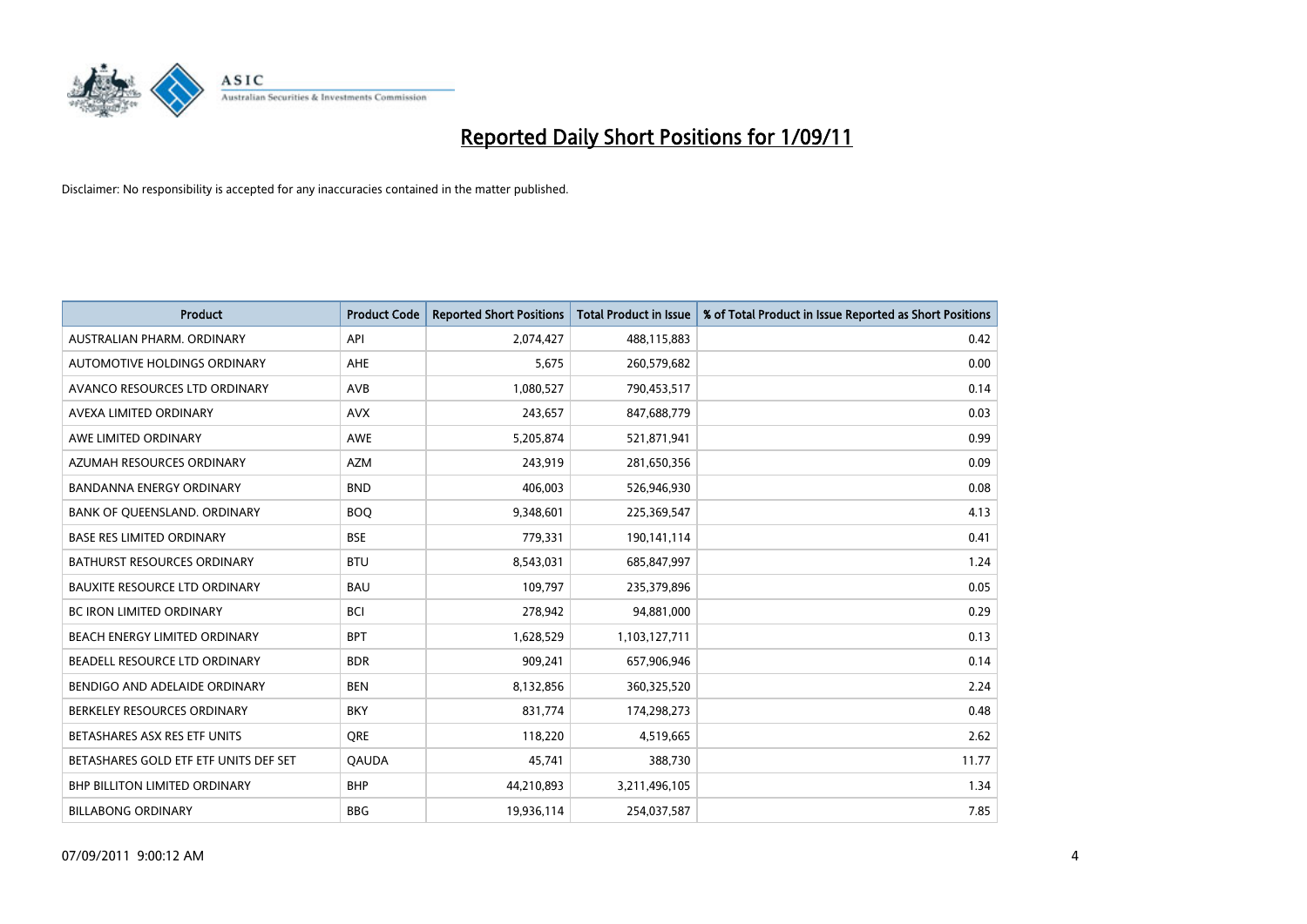

| Product                               | <b>Product Code</b> | <b>Reported Short Positions</b> | <b>Total Product in Issue</b> | % of Total Product in Issue Reported as Short Positions |
|---------------------------------------|---------------------|---------------------------------|-------------------------------|---------------------------------------------------------|
| AUSTRALIAN PHARM, ORDINARY            | API                 | 2,074,427                       | 488,115,883                   | 0.42                                                    |
| AUTOMOTIVE HOLDINGS ORDINARY          | <b>AHE</b>          | 5,675                           | 260,579,682                   | 0.00                                                    |
| AVANCO RESOURCES LTD ORDINARY         | AVB                 | 1,080,527                       | 790,453,517                   | 0.14                                                    |
| AVEXA LIMITED ORDINARY                | <b>AVX</b>          | 243,657                         | 847,688,779                   | 0.03                                                    |
| AWE LIMITED ORDINARY                  | AWE                 | 5,205,874                       | 521,871,941                   | 0.99                                                    |
| AZUMAH RESOURCES ORDINARY             | <b>AZM</b>          | 243,919                         | 281,650,356                   | 0.09                                                    |
| <b>BANDANNA ENERGY ORDINARY</b>       | <b>BND</b>          | 406,003                         | 526,946,930                   | 0.08                                                    |
| BANK OF QUEENSLAND. ORDINARY          | <b>BOQ</b>          | 9,348,601                       | 225,369,547                   | 4.13                                                    |
| <b>BASE RES LIMITED ORDINARY</b>      | <b>BSE</b>          | 779,331                         | 190,141,114                   | 0.41                                                    |
| <b>BATHURST RESOURCES ORDINARY</b>    | <b>BTU</b>          | 8,543,031                       | 685,847,997                   | 1.24                                                    |
| BAUXITE RESOURCE LTD ORDINARY         | <b>BAU</b>          | 109,797                         | 235,379,896                   | 0.05                                                    |
| <b>BC IRON LIMITED ORDINARY</b>       | <b>BCI</b>          | 278,942                         | 94,881,000                    | 0.29                                                    |
| BEACH ENERGY LIMITED ORDINARY         | <b>BPT</b>          | 1,628,529                       | 1,103,127,711                 | 0.13                                                    |
| BEADELL RESOURCE LTD ORDINARY         | <b>BDR</b>          | 909,241                         | 657,906,946                   | 0.14                                                    |
| BENDIGO AND ADELAIDE ORDINARY         | <b>BEN</b>          | 8,132,856                       | 360,325,520                   | 2.24                                                    |
| BERKELEY RESOURCES ORDINARY           | <b>BKY</b>          | 831,774                         | 174,298,273                   | 0.48                                                    |
| BETASHARES ASX RES ETF UNITS          | <b>ORE</b>          | 118,220                         | 4,519,665                     | 2.62                                                    |
| BETASHARES GOLD ETF ETF UNITS DEF SET | <b>QAUDA</b>        | 45,741                          | 388,730                       | 11.77                                                   |
| <b>BHP BILLITON LIMITED ORDINARY</b>  | <b>BHP</b>          | 44,210,893                      | 3,211,496,105                 | 1.34                                                    |
| <b>BILLABONG ORDINARY</b>             | <b>BBG</b>          | 19,936,114                      | 254,037,587                   | 7.85                                                    |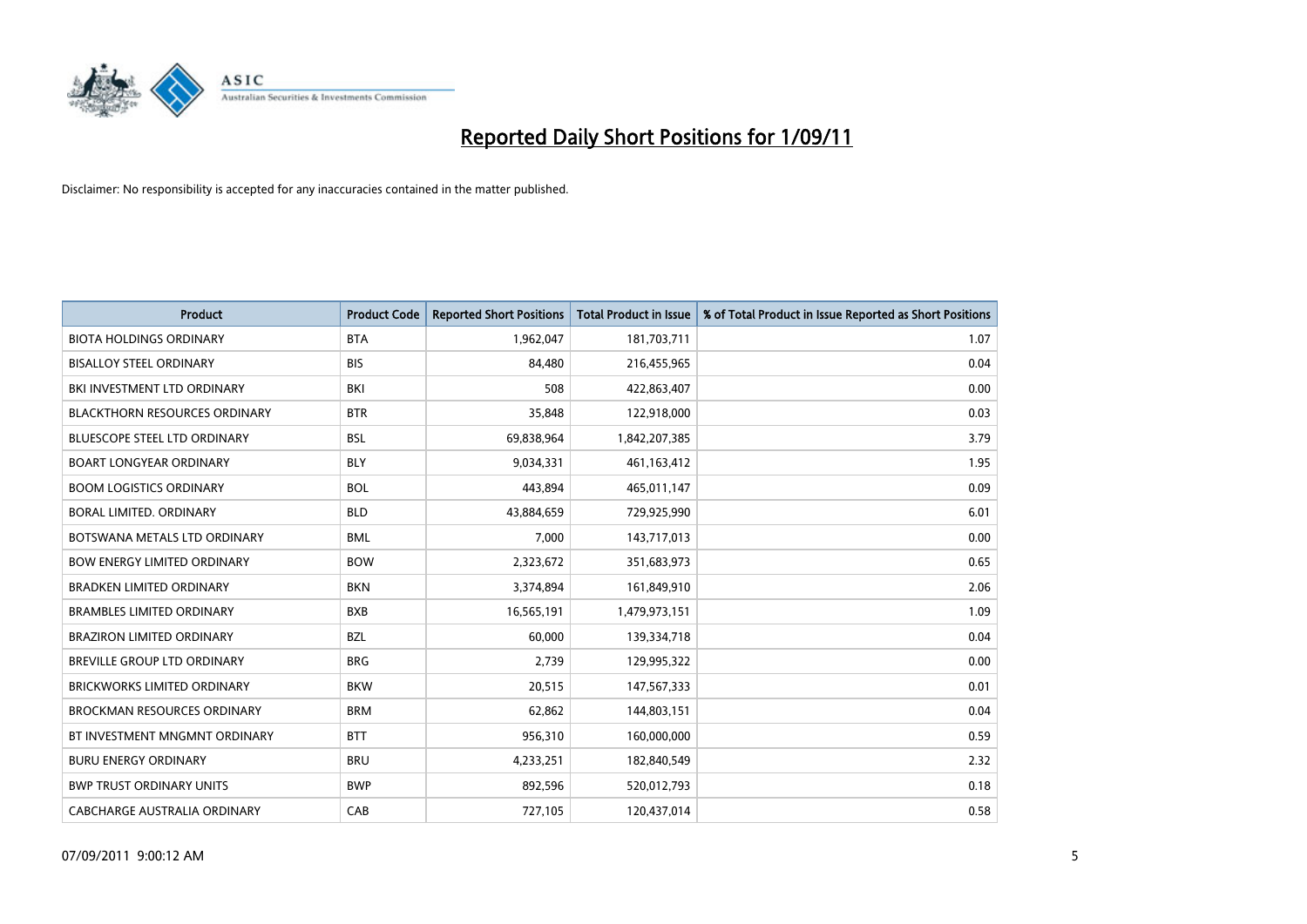

| Product                              | <b>Product Code</b> | <b>Reported Short Positions</b> | <b>Total Product in Issue</b> | % of Total Product in Issue Reported as Short Positions |
|--------------------------------------|---------------------|---------------------------------|-------------------------------|---------------------------------------------------------|
| <b>BIOTA HOLDINGS ORDINARY</b>       | <b>BTA</b>          | 1,962,047                       | 181,703,711                   | 1.07                                                    |
| <b>BISALLOY STEEL ORDINARY</b>       | <b>BIS</b>          | 84,480                          | 216,455,965                   | 0.04                                                    |
| BKI INVESTMENT LTD ORDINARY          | <b>BKI</b>          | 508                             | 422,863,407                   | 0.00                                                    |
| <b>BLACKTHORN RESOURCES ORDINARY</b> | <b>BTR</b>          | 35,848                          | 122,918,000                   | 0.03                                                    |
| <b>BLUESCOPE STEEL LTD ORDINARY</b>  | <b>BSL</b>          | 69,838,964                      | 1,842,207,385                 | 3.79                                                    |
| <b>BOART LONGYEAR ORDINARY</b>       | <b>BLY</b>          | 9,034,331                       | 461, 163, 412                 | 1.95                                                    |
| <b>BOOM LOGISTICS ORDINARY</b>       | <b>BOL</b>          | 443.894                         | 465,011,147                   | 0.09                                                    |
| BORAL LIMITED, ORDINARY              | <b>BLD</b>          | 43,884,659                      | 729,925,990                   | 6.01                                                    |
| BOTSWANA METALS LTD ORDINARY         | <b>BML</b>          | 7,000                           | 143,717,013                   | 0.00                                                    |
| <b>BOW ENERGY LIMITED ORDINARY</b>   | <b>BOW</b>          | 2,323,672                       | 351,683,973                   | 0.65                                                    |
| <b>BRADKEN LIMITED ORDINARY</b>      | <b>BKN</b>          | 3,374,894                       | 161,849,910                   | 2.06                                                    |
| <b>BRAMBLES LIMITED ORDINARY</b>     | <b>BXB</b>          | 16,565,191                      | 1,479,973,151                 | 1.09                                                    |
| <b>BRAZIRON LIMITED ORDINARY</b>     | <b>BZL</b>          | 60,000                          | 139,334,718                   | 0.04                                                    |
| <b>BREVILLE GROUP LTD ORDINARY</b>   | <b>BRG</b>          | 2,739                           | 129,995,322                   | 0.00                                                    |
| <b>BRICKWORKS LIMITED ORDINARY</b>   | <b>BKW</b>          | 20,515                          | 147,567,333                   | 0.01                                                    |
| <b>BROCKMAN RESOURCES ORDINARY</b>   | <b>BRM</b>          | 62,862                          | 144,803,151                   | 0.04                                                    |
| BT INVESTMENT MNGMNT ORDINARY        | <b>BTT</b>          | 956,310                         | 160,000,000                   | 0.59                                                    |
| <b>BURU ENERGY ORDINARY</b>          | <b>BRU</b>          | 4,233,251                       | 182,840,549                   | 2.32                                                    |
| <b>BWP TRUST ORDINARY UNITS</b>      | <b>BWP</b>          | 892,596                         | 520,012,793                   | 0.18                                                    |
| CABCHARGE AUSTRALIA ORDINARY         | CAB                 | 727,105                         | 120,437,014                   | 0.58                                                    |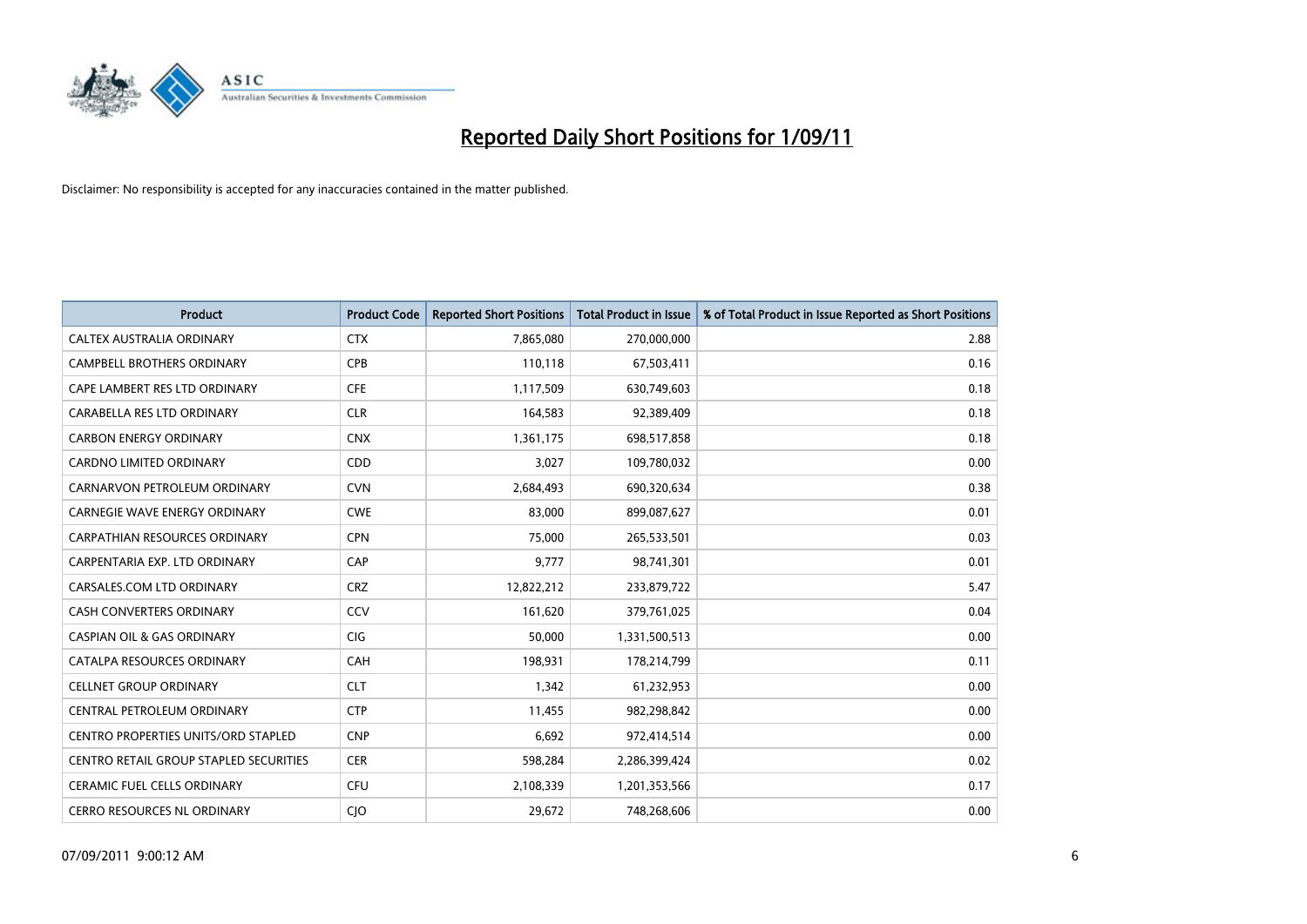

| <b>Product</b>                             | <b>Product Code</b> | <b>Reported Short Positions</b> | <b>Total Product in Issue</b> | % of Total Product in Issue Reported as Short Positions |
|--------------------------------------------|---------------------|---------------------------------|-------------------------------|---------------------------------------------------------|
| <b>CALTEX AUSTRALIA ORDINARY</b>           | <b>CTX</b>          | 7,865,080                       | 270,000,000                   | 2.88                                                    |
| <b>CAMPBELL BROTHERS ORDINARY</b>          | <b>CPB</b>          | 110,118                         | 67,503,411                    | 0.16                                                    |
| CAPE LAMBERT RES LTD ORDINARY              | <b>CFE</b>          | 1,117,509                       | 630,749,603                   | 0.18                                                    |
| CARABELLA RES LTD ORDINARY                 | <b>CLR</b>          | 164,583                         | 92,389,409                    | 0.18                                                    |
| <b>CARBON ENERGY ORDINARY</b>              | <b>CNX</b>          | 1,361,175                       | 698,517,858                   | 0.18                                                    |
| <b>CARDNO LIMITED ORDINARY</b>             | CDD                 | 3,027                           | 109,780,032                   | 0.00                                                    |
| CARNARVON PETROLEUM ORDINARY               | <b>CVN</b>          | 2,684,493                       | 690,320,634                   | 0.38                                                    |
| <b>CARNEGIE WAVE ENERGY ORDINARY</b>       | <b>CWE</b>          | 83,000                          | 899,087,627                   | 0.01                                                    |
| CARPATHIAN RESOURCES ORDINARY              | <b>CPN</b>          | 75,000                          | 265,533,501                   | 0.03                                                    |
| CARPENTARIA EXP. LTD ORDINARY              | CAP                 | 9,777                           | 98,741,301                    | 0.01                                                    |
| CARSALES.COM LTD ORDINARY                  | <b>CRZ</b>          | 12,822,212                      | 233,879,722                   | 5.47                                                    |
| <b>CASH CONVERTERS ORDINARY</b>            | CCV                 | 161,620                         | 379,761,025                   | 0.04                                                    |
| <b>CASPIAN OIL &amp; GAS ORDINARY</b>      | <b>CIG</b>          | 50.000                          | 1,331,500,513                 | 0.00                                                    |
| CATALPA RESOURCES ORDINARY                 | CAH                 | 198,931                         | 178,214,799                   | 0.11                                                    |
| <b>CELLNET GROUP ORDINARY</b>              | <b>CLT</b>          | 1,342                           | 61,232,953                    | 0.00                                                    |
| CENTRAL PETROLEUM ORDINARY                 | <b>CTP</b>          | 11,455                          | 982,298,842                   | 0.00                                                    |
| <b>CENTRO PROPERTIES UNITS/ORD STAPLED</b> | <b>CNP</b>          | 6,692                           | 972,414,514                   | 0.00                                                    |
| CENTRO RETAIL GROUP STAPLED SECURITIES     | <b>CER</b>          | 598,284                         | 2,286,399,424                 | 0.02                                                    |
| <b>CERAMIC FUEL CELLS ORDINARY</b>         | <b>CFU</b>          | 2,108,339                       | 1,201,353,566                 | 0.17                                                    |
| <b>CERRO RESOURCES NL ORDINARY</b>         | <b>CIO</b>          | 29,672                          | 748,268,606                   | 0.00                                                    |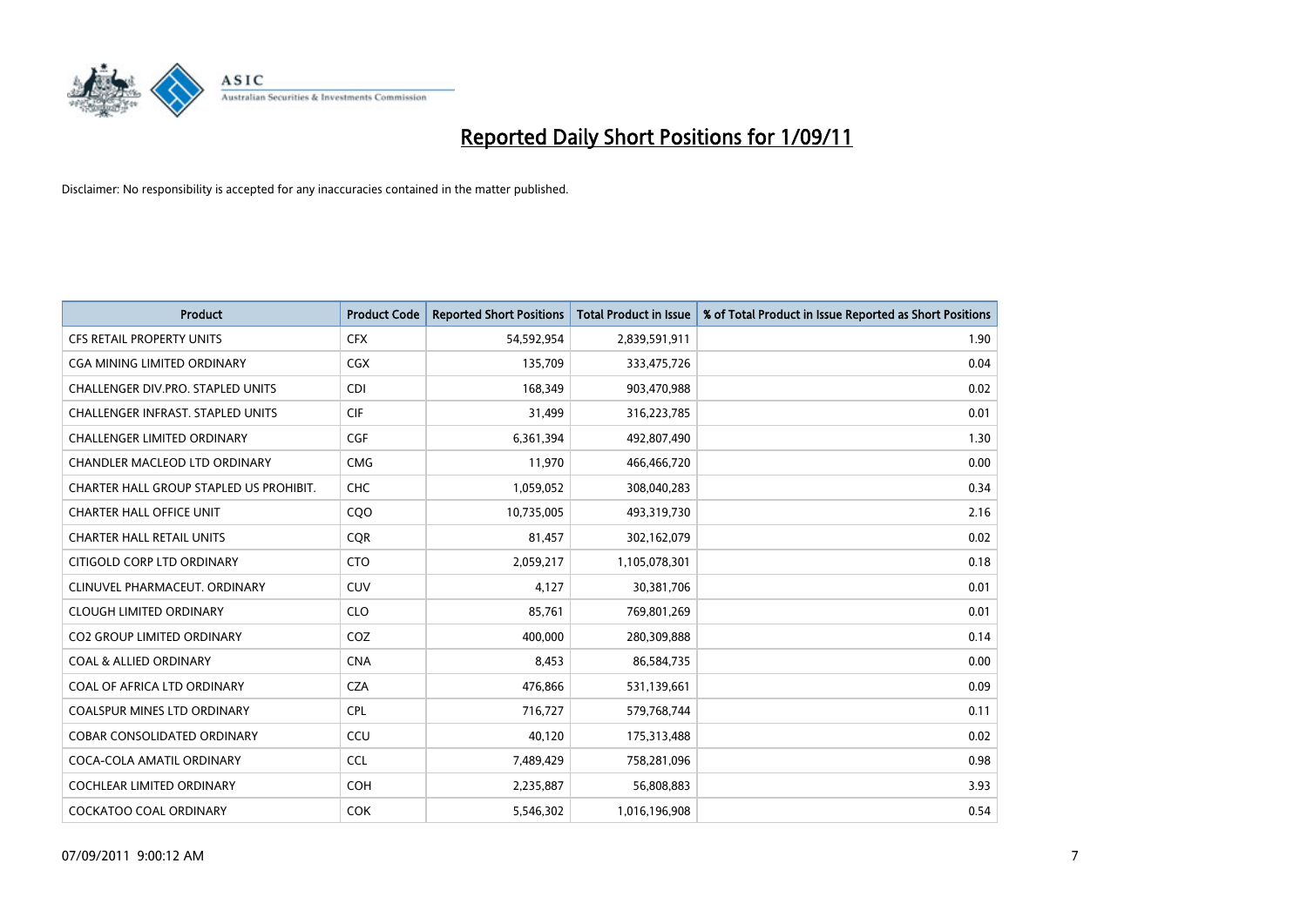

| Product                                 | <b>Product Code</b> | <b>Reported Short Positions</b> | <b>Total Product in Issue</b> | % of Total Product in Issue Reported as Short Positions |
|-----------------------------------------|---------------------|---------------------------------|-------------------------------|---------------------------------------------------------|
| <b>CFS RETAIL PROPERTY UNITS</b>        | <b>CFX</b>          | 54,592,954                      | 2,839,591,911                 | 1.90                                                    |
| CGA MINING LIMITED ORDINARY             | <b>CGX</b>          | 135,709                         | 333,475,726                   | 0.04                                                    |
| CHALLENGER DIV.PRO. STAPLED UNITS       | <b>CDI</b>          | 168,349                         | 903,470,988                   | 0.02                                                    |
| CHALLENGER INFRAST. STAPLED UNITS       | <b>CIF</b>          | 31,499                          | 316,223,785                   | 0.01                                                    |
| <b>CHALLENGER LIMITED ORDINARY</b>      | CGF                 | 6,361,394                       | 492,807,490                   | 1.30                                                    |
| <b>CHANDLER MACLEOD LTD ORDINARY</b>    | <b>CMG</b>          | 11,970                          | 466,466,720                   | 0.00                                                    |
| CHARTER HALL GROUP STAPLED US PROHIBIT. | <b>CHC</b>          | 1,059,052                       | 308,040,283                   | 0.34                                                    |
| <b>CHARTER HALL OFFICE UNIT</b>         | CQ <sub>O</sub>     | 10,735,005                      | 493,319,730                   | 2.16                                                    |
| <b>CHARTER HALL RETAIL UNITS</b>        | <b>CQR</b>          | 81,457                          | 302,162,079                   | 0.02                                                    |
| CITIGOLD CORP LTD ORDINARY              | <b>CTO</b>          | 2,059,217                       | 1,105,078,301                 | 0.18                                                    |
| CLINUVEL PHARMACEUT, ORDINARY           | CUV                 | 4,127                           | 30,381,706                    | 0.01                                                    |
| <b>CLOUGH LIMITED ORDINARY</b>          | <b>CLO</b>          | 85,761                          | 769,801,269                   | 0.01                                                    |
| <b>CO2 GROUP LIMITED ORDINARY</b>       | COZ                 | 400.000                         | 280,309,888                   | 0.14                                                    |
| <b>COAL &amp; ALLIED ORDINARY</b>       | <b>CNA</b>          | 8,453                           | 86,584,735                    | 0.00                                                    |
| COAL OF AFRICA LTD ORDINARY             | <b>CZA</b>          | 476,866                         | 531,139,661                   | 0.09                                                    |
| <b>COALSPUR MINES LTD ORDINARY</b>      | <b>CPL</b>          | 716,727                         | 579,768,744                   | 0.11                                                    |
| <b>COBAR CONSOLIDATED ORDINARY</b>      | CCU                 | 40,120                          | 175,313,488                   | 0.02                                                    |
| COCA-COLA AMATIL ORDINARY               | <b>CCL</b>          | 7,489,429                       | 758,281,096                   | 0.98                                                    |
| <b>COCHLEAR LIMITED ORDINARY</b>        | <b>COH</b>          | 2,235,887                       | 56,808,883                    | 3.93                                                    |
| <b>COCKATOO COAL ORDINARY</b>           | <b>COK</b>          | 5,546,302                       | 1,016,196,908                 | 0.54                                                    |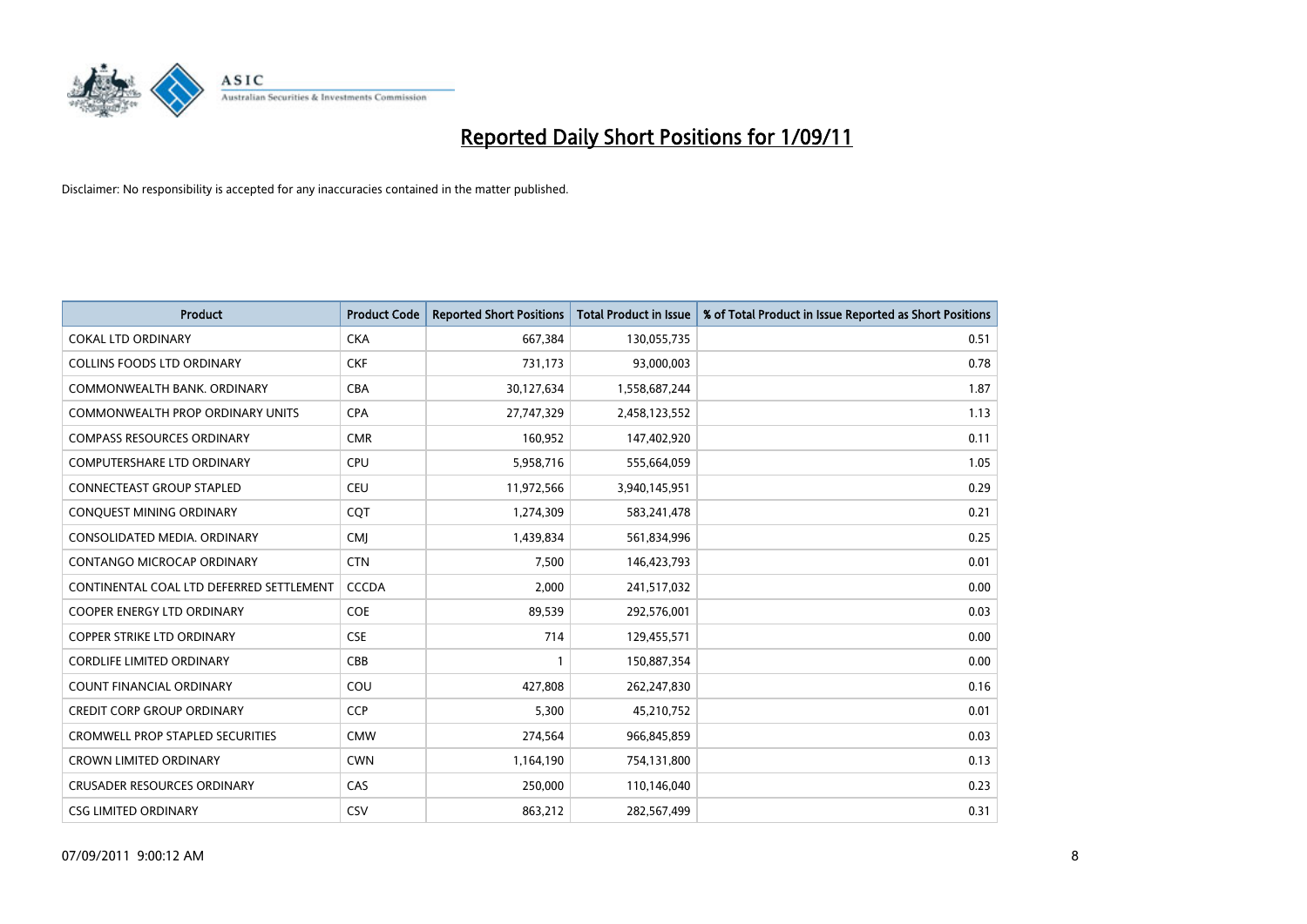

| Product                                  | <b>Product Code</b> | <b>Reported Short Positions</b> | <b>Total Product in Issue</b> | % of Total Product in Issue Reported as Short Positions |
|------------------------------------------|---------------------|---------------------------------|-------------------------------|---------------------------------------------------------|
| <b>COKAL LTD ORDINARY</b>                | <b>CKA</b>          | 667,384                         | 130,055,735                   | 0.51                                                    |
| COLLINS FOODS LTD ORDINARY               | <b>CKF</b>          | 731,173                         | 93,000,003                    | 0.78                                                    |
| COMMONWEALTH BANK, ORDINARY              | <b>CBA</b>          | 30,127,634                      | 1,558,687,244                 | 1.87                                                    |
| COMMONWEALTH PROP ORDINARY UNITS         | <b>CPA</b>          | 27,747,329                      | 2,458,123,552                 | 1.13                                                    |
| <b>COMPASS RESOURCES ORDINARY</b>        | <b>CMR</b>          | 160,952                         | 147,402,920                   | 0.11                                                    |
| <b>COMPUTERSHARE LTD ORDINARY</b>        | <b>CPU</b>          | 5,958,716                       | 555,664,059                   | 1.05                                                    |
| <b>CONNECTEAST GROUP STAPLED</b>         | <b>CEU</b>          | 11,972,566                      | 3,940,145,951                 | 0.29                                                    |
| CONQUEST MINING ORDINARY                 | CQT                 | 1,274,309                       | 583,241,478                   | 0.21                                                    |
| CONSOLIDATED MEDIA. ORDINARY             | <b>CMI</b>          | 1,439,834                       | 561,834,996                   | 0.25                                                    |
| CONTANGO MICROCAP ORDINARY               | <b>CTN</b>          | 7,500                           | 146,423,793                   | 0.01                                                    |
| CONTINENTAL COAL LTD DEFERRED SETTLEMENT | <b>CCCDA</b>        | 2,000                           | 241,517,032                   | 0.00                                                    |
| COOPER ENERGY LTD ORDINARY               | <b>COE</b>          | 89,539                          | 292,576,001                   | 0.03                                                    |
| <b>COPPER STRIKE LTD ORDINARY</b>        | <b>CSE</b>          | 714                             | 129,455,571                   | 0.00                                                    |
| <b>CORDLIFE LIMITED ORDINARY</b>         | CBB                 |                                 | 150,887,354                   | 0.00                                                    |
| <b>COUNT FINANCIAL ORDINARY</b>          | COU                 | 427,808                         | 262,247,830                   | 0.16                                                    |
| <b>CREDIT CORP GROUP ORDINARY</b>        | <b>CCP</b>          | 5,300                           | 45,210,752                    | 0.01                                                    |
| <b>CROMWELL PROP STAPLED SECURITIES</b>  | <b>CMW</b>          | 274,564                         | 966,845,859                   | 0.03                                                    |
| <b>CROWN LIMITED ORDINARY</b>            | <b>CWN</b>          | 1,164,190                       | 754,131,800                   | 0.13                                                    |
| <b>CRUSADER RESOURCES ORDINARY</b>       | CAS                 | 250,000                         | 110,146,040                   | 0.23                                                    |
| <b>CSG LIMITED ORDINARY</b>              | CSV                 | 863,212                         | 282,567,499                   | 0.31                                                    |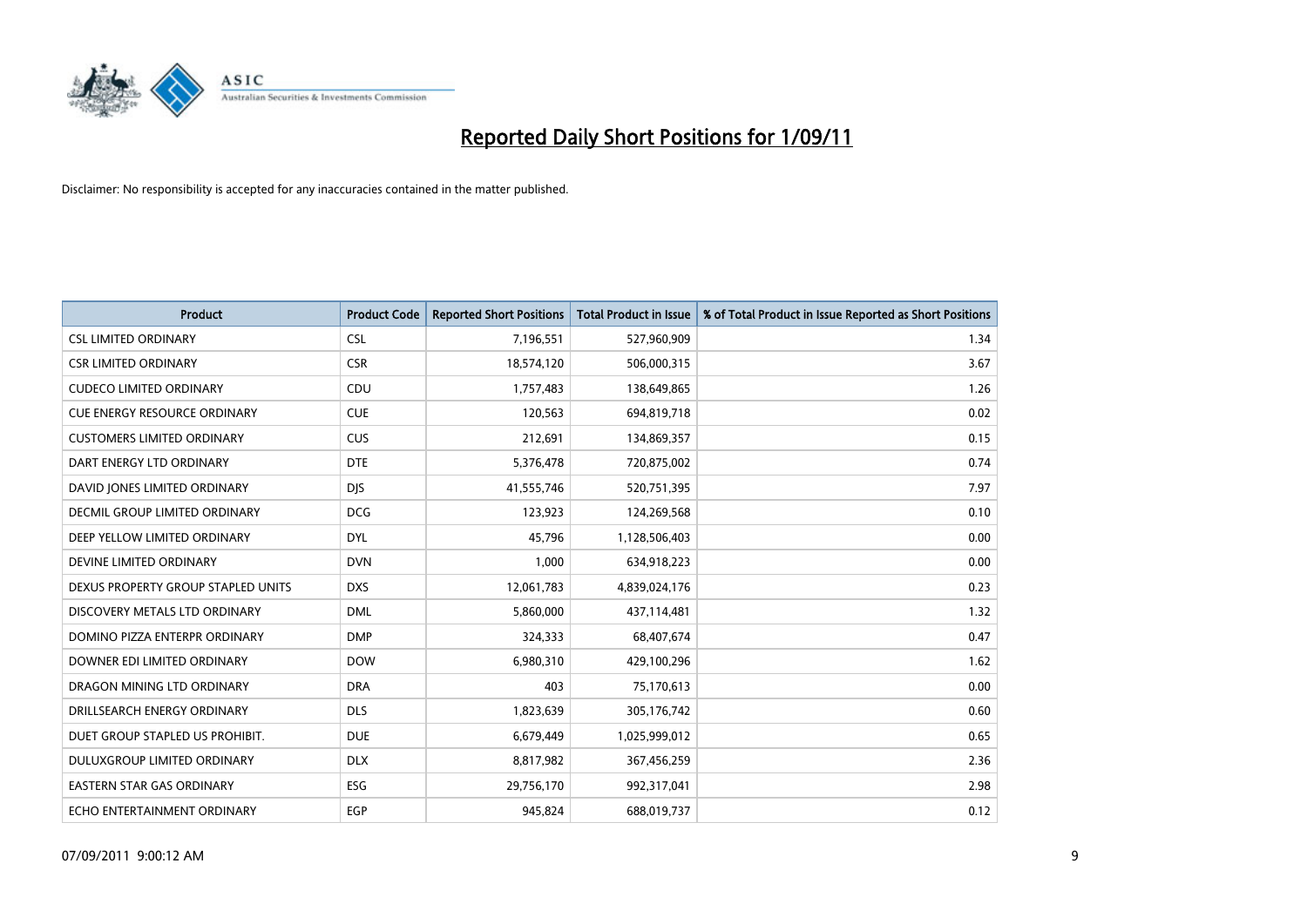

| Product                             | <b>Product Code</b> | <b>Reported Short Positions</b> | <b>Total Product in Issue</b> | % of Total Product in Issue Reported as Short Positions |
|-------------------------------------|---------------------|---------------------------------|-------------------------------|---------------------------------------------------------|
| <b>CSL LIMITED ORDINARY</b>         | <b>CSL</b>          | 7,196,551                       | 527,960,909                   | 1.34                                                    |
| <b>CSR LIMITED ORDINARY</b>         | <b>CSR</b>          | 18,574,120                      | 506,000,315                   | 3.67                                                    |
| <b>CUDECO LIMITED ORDINARY</b>      | CDU                 | 1,757,483                       | 138,649,865                   | 1.26                                                    |
| <b>CUE ENERGY RESOURCE ORDINARY</b> | <b>CUE</b>          | 120,563                         | 694,819,718                   | 0.02                                                    |
| <b>CUSTOMERS LIMITED ORDINARY</b>   | <b>CUS</b>          | 212,691                         | 134,869,357                   | 0.15                                                    |
| DART ENERGY LTD ORDINARY            | <b>DTE</b>          | 5,376,478                       | 720,875,002                   | 0.74                                                    |
| DAVID JONES LIMITED ORDINARY        | <b>DIS</b>          | 41,555,746                      | 520,751,395                   | 7.97                                                    |
| DECMIL GROUP LIMITED ORDINARY       | <b>DCG</b>          | 123,923                         | 124,269,568                   | 0.10                                                    |
| DEEP YELLOW LIMITED ORDINARY        | <b>DYL</b>          | 45,796                          | 1,128,506,403                 | 0.00                                                    |
| DEVINE LIMITED ORDINARY             | <b>DVN</b>          | 1,000                           | 634,918,223                   | 0.00                                                    |
| DEXUS PROPERTY GROUP STAPLED UNITS  | <b>DXS</b>          | 12,061,783                      | 4,839,024,176                 | 0.23                                                    |
| DISCOVERY METALS LTD ORDINARY       | <b>DML</b>          | 5,860,000                       | 437,114,481                   | 1.32                                                    |
| DOMINO PIZZA ENTERPR ORDINARY       | <b>DMP</b>          | 324,333                         | 68,407,674                    | 0.47                                                    |
| DOWNER EDI LIMITED ORDINARY         | <b>DOW</b>          | 6,980,310                       | 429,100,296                   | 1.62                                                    |
| DRAGON MINING LTD ORDINARY          | <b>DRA</b>          | 403                             | 75,170,613                    | 0.00                                                    |
| DRILLSEARCH ENERGY ORDINARY         | <b>DLS</b>          | 1,823,639                       | 305,176,742                   | 0.60                                                    |
| DUET GROUP STAPLED US PROHIBIT.     | <b>DUE</b>          | 6,679,449                       | 1,025,999,012                 | 0.65                                                    |
| DULUXGROUP LIMITED ORDINARY         | <b>DLX</b>          | 8,817,982                       | 367,456,259                   | 2.36                                                    |
| <b>EASTERN STAR GAS ORDINARY</b>    | ESG                 | 29,756,170                      | 992,317,041                   | 2.98                                                    |
| ECHO ENTERTAINMENT ORDINARY         | EGP                 | 945.824                         | 688,019,737                   | 0.12                                                    |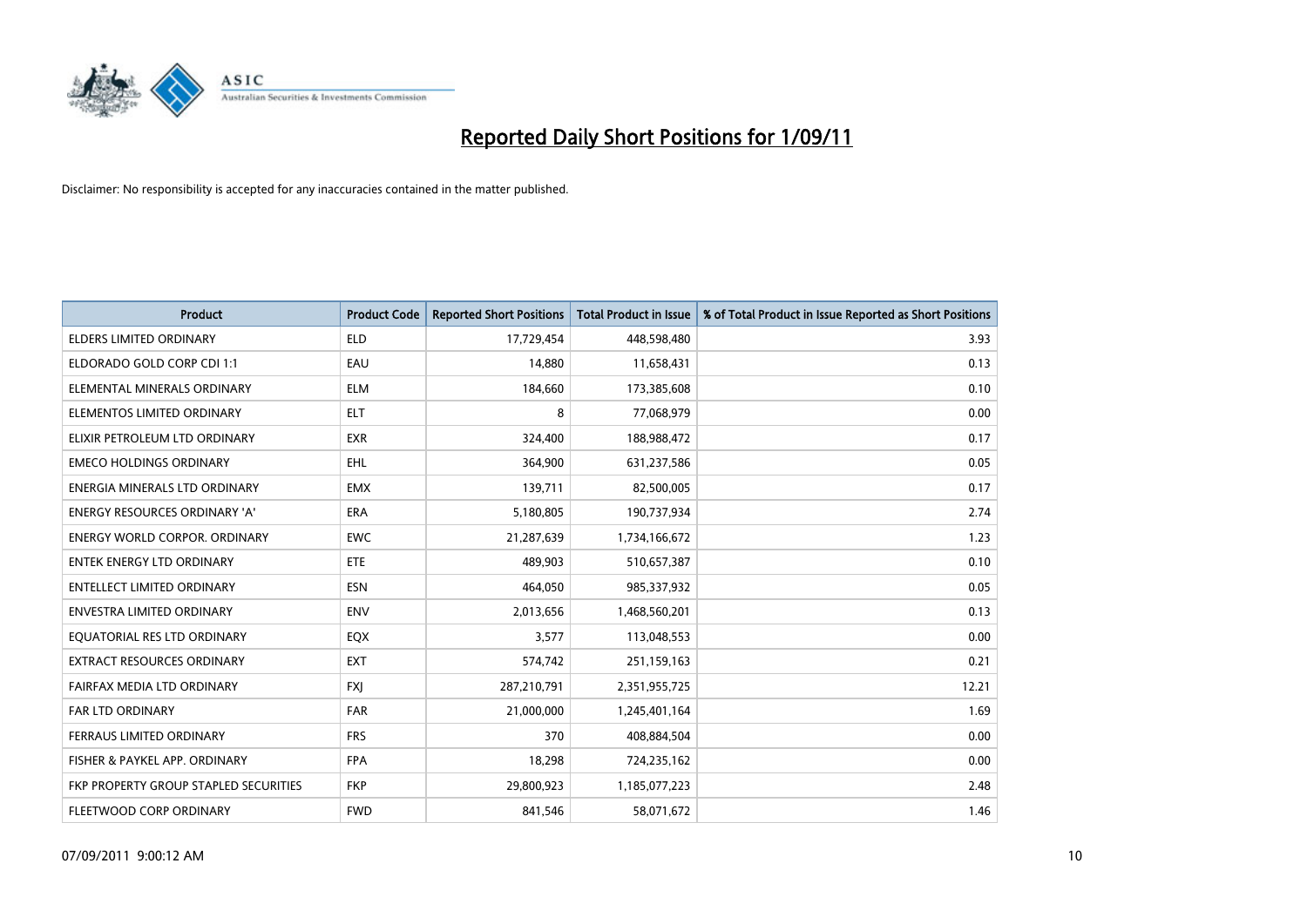

| <b>Product</b>                        | <b>Product Code</b> | <b>Reported Short Positions</b> | <b>Total Product in Issue</b> | % of Total Product in Issue Reported as Short Positions |
|---------------------------------------|---------------------|---------------------------------|-------------------------------|---------------------------------------------------------|
| <b>ELDERS LIMITED ORDINARY</b>        | <b>ELD</b>          | 17,729,454                      | 448,598,480                   | 3.93                                                    |
| ELDORADO GOLD CORP CDI 1:1            | EAU                 | 14,880                          | 11,658,431                    | 0.13                                                    |
| ELEMENTAL MINERALS ORDINARY           | <b>ELM</b>          | 184,660                         | 173,385,608                   | 0.10                                                    |
| ELEMENTOS LIMITED ORDINARY            | <b>ELT</b>          | 8                               | 77,068,979                    | 0.00                                                    |
| ELIXIR PETROLEUM LTD ORDINARY         | <b>EXR</b>          | 324,400                         | 188,988,472                   | 0.17                                                    |
| <b>EMECO HOLDINGS ORDINARY</b>        | <b>EHL</b>          | 364,900                         | 631,237,586                   | 0.05                                                    |
| ENERGIA MINERALS LTD ORDINARY         | <b>EMX</b>          | 139,711                         | 82,500,005                    | 0.17                                                    |
| <b>ENERGY RESOURCES ORDINARY 'A'</b>  | <b>ERA</b>          | 5,180,805                       | 190,737,934                   | 2.74                                                    |
| <b>ENERGY WORLD CORPOR. ORDINARY</b>  | <b>EWC</b>          | 21,287,639                      | 1,734,166,672                 | 1.23                                                    |
| <b>ENTEK ENERGY LTD ORDINARY</b>      | <b>ETE</b>          | 489.903                         | 510,657,387                   | 0.10                                                    |
| <b>ENTELLECT LIMITED ORDINARY</b>     | ESN                 | 464,050                         | 985,337,932                   | 0.05                                                    |
| <b>ENVESTRA LIMITED ORDINARY</b>      | <b>ENV</b>          | 2,013,656                       | 1,468,560,201                 | 0.13                                                    |
| EQUATORIAL RES LTD ORDINARY           | <b>EQX</b>          | 3,577                           | 113,048,553                   | 0.00                                                    |
| <b>EXTRACT RESOURCES ORDINARY</b>     | <b>EXT</b>          | 574,742                         | 251,159,163                   | 0.21                                                    |
| FAIRFAX MEDIA LTD ORDINARY            | <b>FXI</b>          | 287,210,791                     | 2,351,955,725                 | 12.21                                                   |
| <b>FAR LTD ORDINARY</b>               | <b>FAR</b>          | 21,000,000                      | 1,245,401,164                 | 1.69                                                    |
| FERRAUS LIMITED ORDINARY              | <b>FRS</b>          | 370                             | 408,884,504                   | 0.00                                                    |
| FISHER & PAYKEL APP. ORDINARY         | <b>FPA</b>          | 18,298                          | 724,235,162                   | 0.00                                                    |
| FKP PROPERTY GROUP STAPLED SECURITIES | <b>FKP</b>          | 29,800,923                      | 1,185,077,223                 | 2.48                                                    |
| FLEETWOOD CORP ORDINARY               | <b>FWD</b>          | 841,546                         | 58,071,672                    | 1.46                                                    |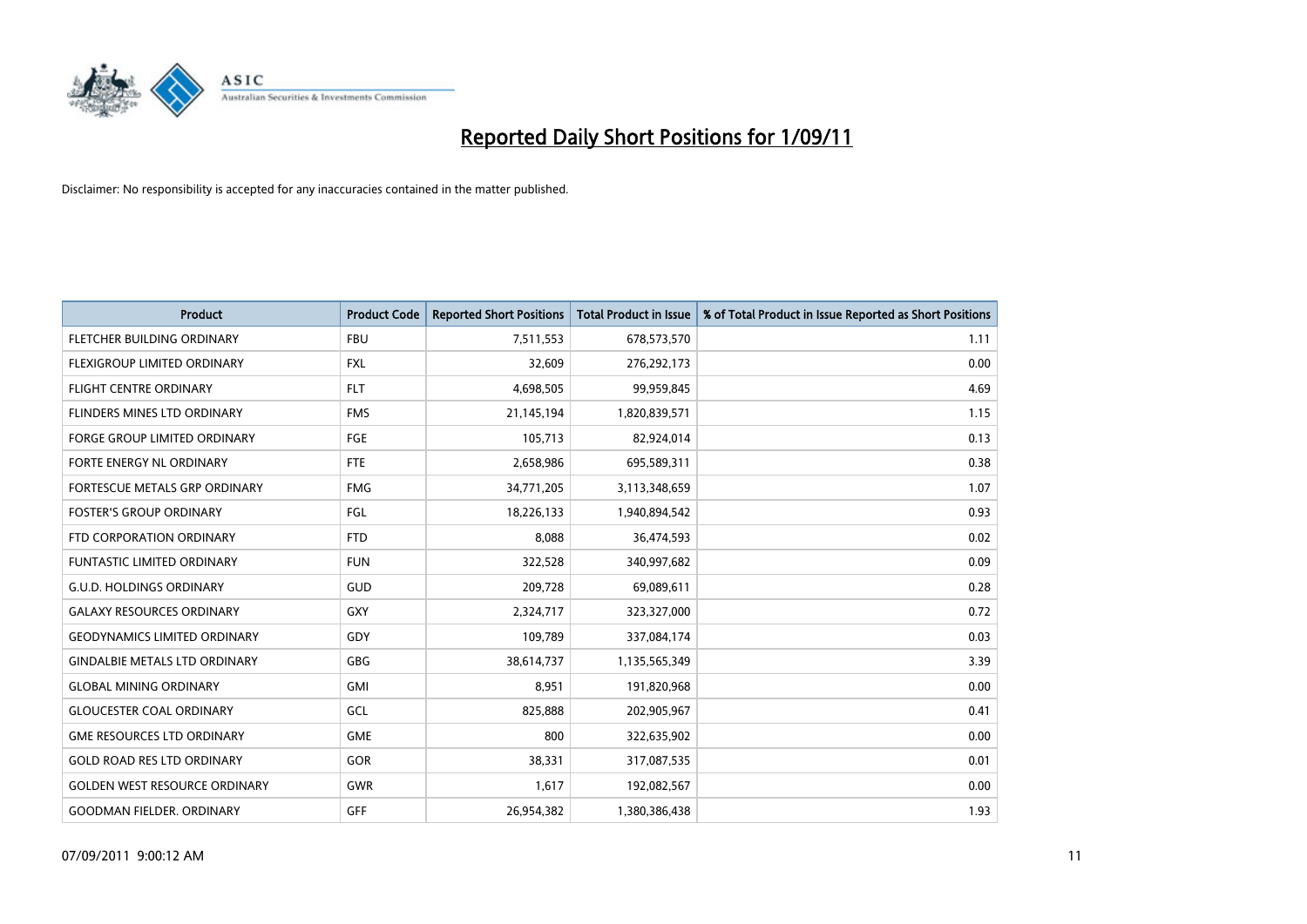

| Product                              | <b>Product Code</b> | <b>Reported Short Positions</b> | <b>Total Product in Issue</b> | % of Total Product in Issue Reported as Short Positions |
|--------------------------------------|---------------------|---------------------------------|-------------------------------|---------------------------------------------------------|
| FLETCHER BUILDING ORDINARY           | <b>FBU</b>          | 7,511,553                       | 678,573,570                   | 1.11                                                    |
| FLEXIGROUP LIMITED ORDINARY          | <b>FXL</b>          | 32,609                          | 276,292,173                   | 0.00                                                    |
| <b>FLIGHT CENTRE ORDINARY</b>        | <b>FLT</b>          | 4,698,505                       | 99,959,845                    | 4.69                                                    |
| FLINDERS MINES LTD ORDINARY          | <b>FMS</b>          | 21,145,194                      | 1,820,839,571                 | 1.15                                                    |
| <b>FORGE GROUP LIMITED ORDINARY</b>  | FGE                 | 105,713                         | 82,924,014                    | 0.13                                                    |
| FORTE ENERGY NL ORDINARY             | <b>FTE</b>          | 2,658,986                       | 695,589,311                   | 0.38                                                    |
| FORTESCUE METALS GRP ORDINARY        | <b>FMG</b>          | 34,771,205                      | 3,113,348,659                 | 1.07                                                    |
| <b>FOSTER'S GROUP ORDINARY</b>       | FGL                 | 18,226,133                      | 1,940,894,542                 | 0.93                                                    |
| FTD CORPORATION ORDINARY             | <b>FTD</b>          | 8,088                           | 36,474,593                    | 0.02                                                    |
| <b>FUNTASTIC LIMITED ORDINARY</b>    | <b>FUN</b>          | 322,528                         | 340,997,682                   | 0.09                                                    |
| <b>G.U.D. HOLDINGS ORDINARY</b>      | GUD                 | 209,728                         | 69,089,611                    | 0.28                                                    |
| <b>GALAXY RESOURCES ORDINARY</b>     | <b>GXY</b>          | 2,324,717                       | 323,327,000                   | 0.72                                                    |
| <b>GEODYNAMICS LIMITED ORDINARY</b>  | GDY                 | 109,789                         | 337,084,174                   | 0.03                                                    |
| <b>GINDALBIE METALS LTD ORDINARY</b> | GBG                 | 38,614,737                      | 1,135,565,349                 | 3.39                                                    |
| <b>GLOBAL MINING ORDINARY</b>        | GMI                 | 8,951                           | 191,820,968                   | 0.00                                                    |
| <b>GLOUCESTER COAL ORDINARY</b>      | GCL                 | 825,888                         | 202,905,967                   | 0.41                                                    |
| <b>GME RESOURCES LTD ORDINARY</b>    | <b>GME</b>          | 800                             | 322,635,902                   | 0.00                                                    |
| <b>GOLD ROAD RES LTD ORDINARY</b>    | GOR                 | 38,331                          | 317,087,535                   | 0.01                                                    |
| <b>GOLDEN WEST RESOURCE ORDINARY</b> | <b>GWR</b>          | 1,617                           | 192,082,567                   | 0.00                                                    |
| <b>GOODMAN FIELDER, ORDINARY</b>     | GFF                 | 26,954,382                      | 1,380,386,438                 | 1.93                                                    |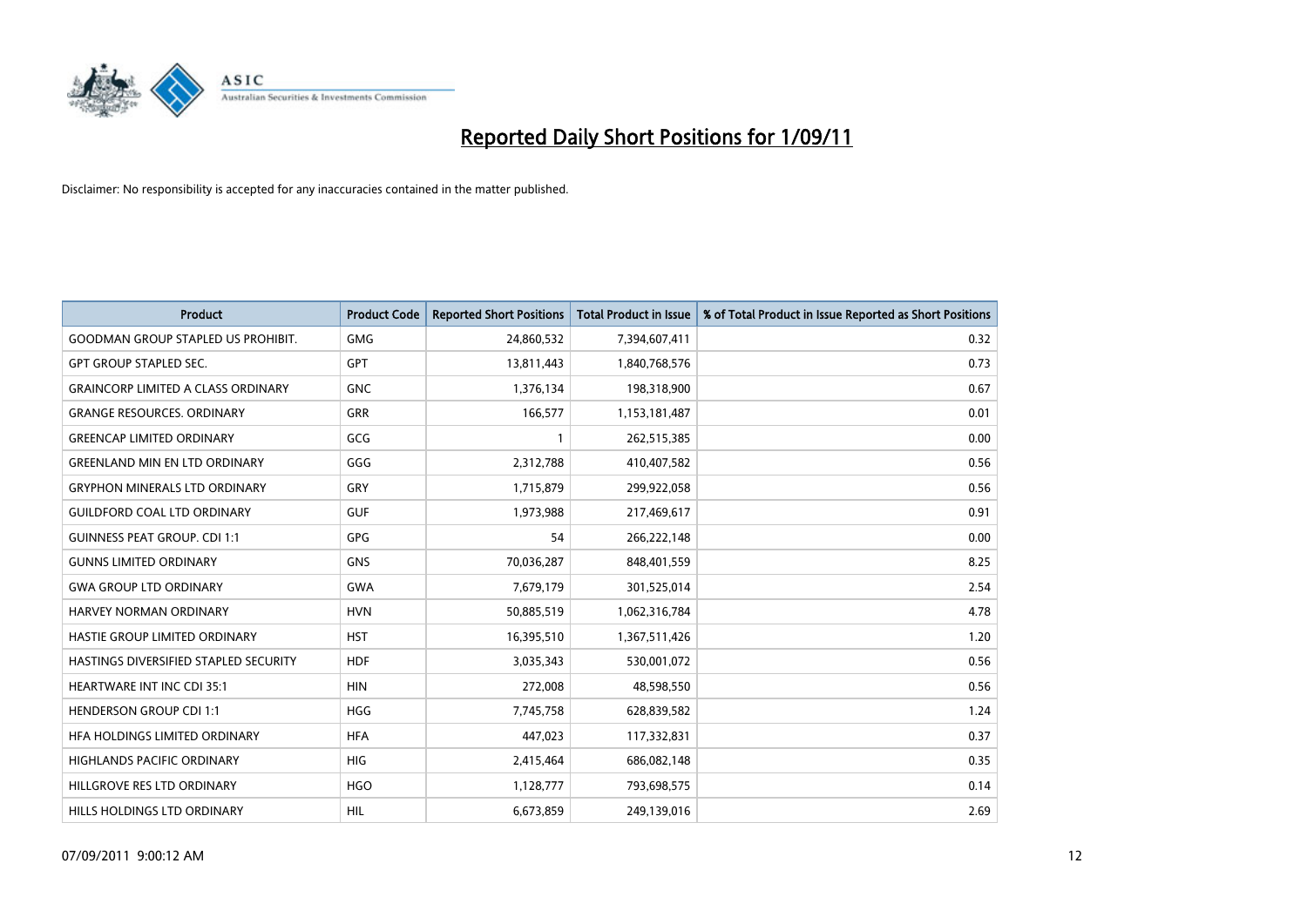

| <b>Product</b>                            | <b>Product Code</b> | <b>Reported Short Positions</b> | Total Product in Issue | % of Total Product in Issue Reported as Short Positions |
|-------------------------------------------|---------------------|---------------------------------|------------------------|---------------------------------------------------------|
| <b>GOODMAN GROUP STAPLED US PROHIBIT.</b> | <b>GMG</b>          | 24,860,532                      | 7,394,607,411          | 0.32                                                    |
| <b>GPT GROUP STAPLED SEC.</b>             | <b>GPT</b>          | 13,811,443                      | 1,840,768,576          | 0.73                                                    |
| <b>GRAINCORP LIMITED A CLASS ORDINARY</b> | <b>GNC</b>          | 1,376,134                       | 198,318,900            | 0.67                                                    |
| <b>GRANGE RESOURCES. ORDINARY</b>         | <b>GRR</b>          | 166,577                         | 1,153,181,487          | 0.01                                                    |
| <b>GREENCAP LIMITED ORDINARY</b>          | GCG                 |                                 | 262,515,385            | 0.00                                                    |
| <b>GREENLAND MIN EN LTD ORDINARY</b>      | GGG                 | 2,312,788                       | 410,407,582            | 0.56                                                    |
| <b>GRYPHON MINERALS LTD ORDINARY</b>      | GRY                 | 1,715,879                       | 299,922,058            | 0.56                                                    |
| <b>GUILDFORD COAL LTD ORDINARY</b>        | <b>GUF</b>          | 1,973,988                       | 217,469,617            | 0.91                                                    |
| <b>GUINNESS PEAT GROUP. CDI 1:1</b>       | <b>GPG</b>          | 54                              | 266,222,148            | 0.00                                                    |
| <b>GUNNS LIMITED ORDINARY</b>             | <b>GNS</b>          | 70,036,287                      | 848,401,559            | 8.25                                                    |
| <b>GWA GROUP LTD ORDINARY</b>             | <b>GWA</b>          | 7,679,179                       | 301,525,014            | 2.54                                                    |
| <b>HARVEY NORMAN ORDINARY</b>             | <b>HVN</b>          | 50,885,519                      | 1,062,316,784          | 4.78                                                    |
| HASTIE GROUP LIMITED ORDINARY             | <b>HST</b>          | 16,395,510                      | 1,367,511,426          | 1.20                                                    |
| HASTINGS DIVERSIFIED STAPLED SECURITY     | <b>HDF</b>          | 3,035,343                       | 530,001,072            | 0.56                                                    |
| <b>HEARTWARE INT INC CDI 35:1</b>         | <b>HIN</b>          | 272,008                         | 48,598,550             | 0.56                                                    |
| <b>HENDERSON GROUP CDI 1:1</b>            | <b>HGG</b>          | 7,745,758                       | 628,839,582            | 1.24                                                    |
| HFA HOLDINGS LIMITED ORDINARY             | <b>HFA</b>          | 447,023                         | 117,332,831            | 0.37                                                    |
| HIGHLANDS PACIFIC ORDINARY                | <b>HIG</b>          | 2,415,464                       | 686,082,148            | 0.35                                                    |
| HILLGROVE RES LTD ORDINARY                | <b>HGO</b>          | 1,128,777                       | 793,698,575            | 0.14                                                    |
| HILLS HOLDINGS LTD ORDINARY               | <b>HIL</b>          | 6,673,859                       | 249,139,016            | 2.69                                                    |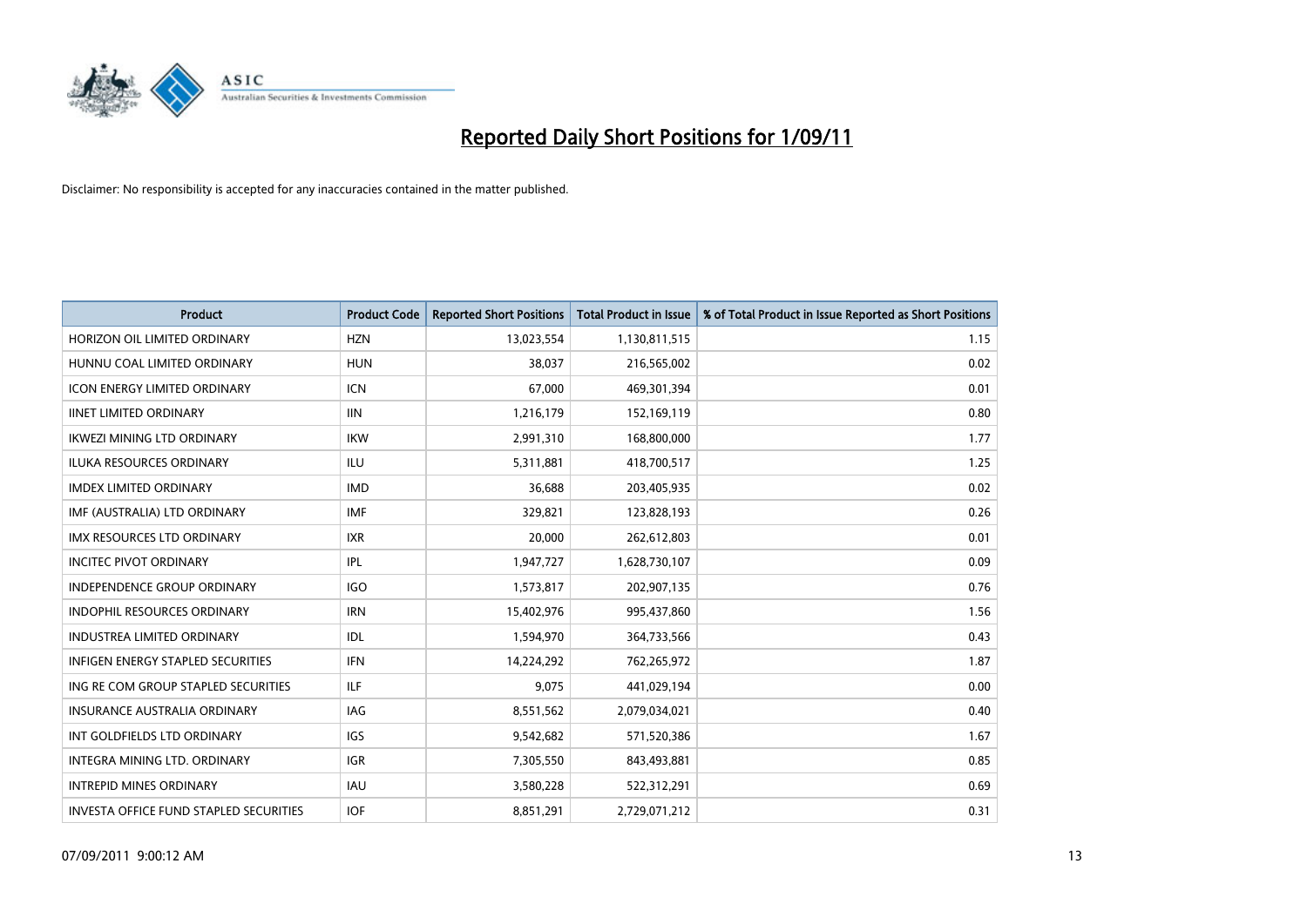

| Product                                       | <b>Product Code</b> | <b>Reported Short Positions</b> | <b>Total Product in Issue</b> | % of Total Product in Issue Reported as Short Positions |
|-----------------------------------------------|---------------------|---------------------------------|-------------------------------|---------------------------------------------------------|
| HORIZON OIL LIMITED ORDINARY                  | <b>HZN</b>          | 13,023,554                      | 1,130,811,515                 | 1.15                                                    |
| HUNNU COAL LIMITED ORDINARY                   | <b>HUN</b>          | 38,037                          | 216,565,002                   | 0.02                                                    |
| <b>ICON ENERGY LIMITED ORDINARY</b>           | <b>ICN</b>          | 67,000                          | 469,301,394                   | 0.01                                                    |
| <b>IINET LIMITED ORDINARY</b>                 | <b>IIN</b>          | 1,216,179                       | 152,169,119                   | 0.80                                                    |
| <b>IKWEZI MINING LTD ORDINARY</b>             | <b>IKW</b>          | 2,991,310                       | 168,800,000                   | 1.77                                                    |
| <b>ILUKA RESOURCES ORDINARY</b>               | ILU                 | 5,311,881                       | 418,700,517                   | 1.25                                                    |
| <b>IMDEX LIMITED ORDINARY</b>                 | <b>IMD</b>          | 36.688                          | 203,405,935                   | 0.02                                                    |
| IMF (AUSTRALIA) LTD ORDINARY                  | <b>IMF</b>          | 329,821                         | 123,828,193                   | 0.26                                                    |
| IMX RESOURCES LTD ORDINARY                    | <b>IXR</b>          | 20,000                          | 262,612,803                   | 0.01                                                    |
| <b>INCITEC PIVOT ORDINARY</b>                 | IPL                 | 1,947,727                       | 1,628,730,107                 | 0.09                                                    |
| <b>INDEPENDENCE GROUP ORDINARY</b>            | <b>IGO</b>          | 1,573,817                       | 202,907,135                   | 0.76                                                    |
| <b>INDOPHIL RESOURCES ORDINARY</b>            | <b>IRN</b>          | 15,402,976                      | 995,437,860                   | 1.56                                                    |
| <b>INDUSTREA LIMITED ORDINARY</b>             | IDL                 | 1,594,970                       | 364,733,566                   | 0.43                                                    |
| <b>INFIGEN ENERGY STAPLED SECURITIES</b>      | <b>IFN</b>          | 14,224,292                      | 762,265,972                   | 1.87                                                    |
| ING RE COM GROUP STAPLED SECURITIES           | ILF                 | 9,075                           | 441,029,194                   | 0.00                                                    |
| <b>INSURANCE AUSTRALIA ORDINARY</b>           | <b>IAG</b>          | 8,551,562                       | 2,079,034,021                 | 0.40                                                    |
| INT GOLDFIELDS LTD ORDINARY                   | <b>IGS</b>          | 9,542,682                       | 571,520,386                   | 1.67                                                    |
| INTEGRA MINING LTD. ORDINARY                  | <b>IGR</b>          | 7,305,550                       | 843,493,881                   | 0.85                                                    |
| <b>INTREPID MINES ORDINARY</b>                | <b>IAU</b>          | 3,580,228                       | 522,312,291                   | 0.69                                                    |
| <b>INVESTA OFFICE FUND STAPLED SECURITIES</b> | <b>IOF</b>          | 8,851,291                       | 2,729,071,212                 | 0.31                                                    |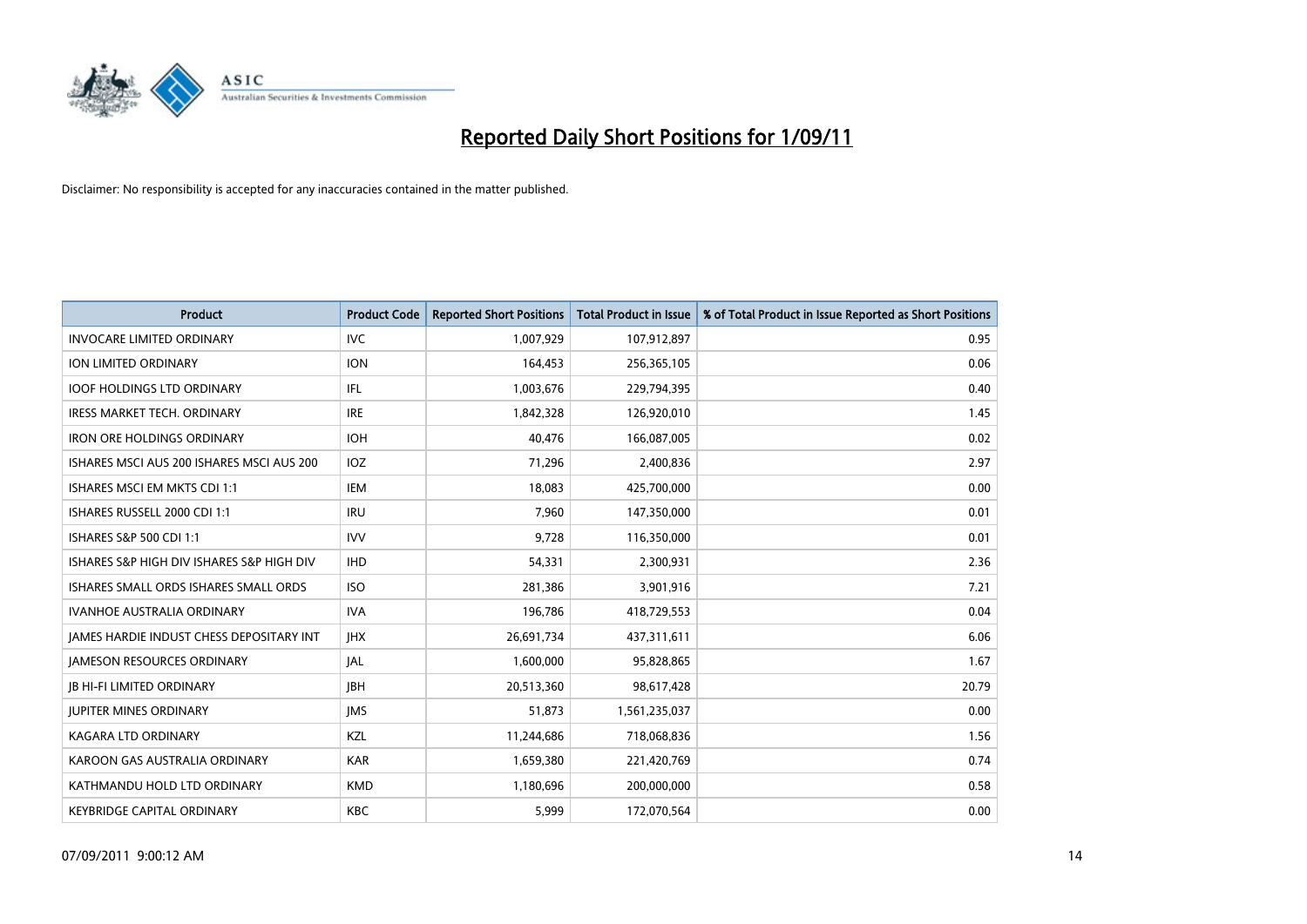

| Product                                   | <b>Product Code</b> | <b>Reported Short Positions</b> | Total Product in Issue | % of Total Product in Issue Reported as Short Positions |
|-------------------------------------------|---------------------|---------------------------------|------------------------|---------------------------------------------------------|
| <b>INVOCARE LIMITED ORDINARY</b>          | <b>IVC</b>          | 1,007,929                       | 107,912,897            | 0.95                                                    |
| <b>ION LIMITED ORDINARY</b>               | <b>ION</b>          | 164,453                         | 256,365,105            | 0.06                                                    |
| <b>IOOF HOLDINGS LTD ORDINARY</b>         | IFL.                | 1,003,676                       | 229,794,395            | 0.40                                                    |
| IRESS MARKET TECH. ORDINARY               | <b>IRE</b>          | 1,842,328                       | 126,920,010            | 1.45                                                    |
| <b>IRON ORE HOLDINGS ORDINARY</b>         | <b>IOH</b>          | 40.476                          | 166,087,005            | 0.02                                                    |
| ISHARES MSCI AUS 200 ISHARES MSCI AUS 200 | IOZ                 | 71,296                          | 2,400,836              | 2.97                                                    |
| ISHARES MSCI EM MKTS CDI 1:1              | <b>IEM</b>          | 18,083                          | 425,700,000            | 0.00                                                    |
| ISHARES RUSSELL 2000 CDI 1:1              | <b>IRU</b>          | 7,960                           | 147,350,000            | 0.01                                                    |
| ISHARES S&P 500 CDI 1:1                   | <b>IVV</b>          | 9,728                           | 116,350,000            | 0.01                                                    |
| ISHARES S&P HIGH DIV ISHARES S&P HIGH DIV | <b>IHD</b>          | 54,331                          | 2,300,931              | 2.36                                                    |
| ISHARES SMALL ORDS ISHARES SMALL ORDS     | <b>ISO</b>          | 281,386                         | 3,901,916              | 7.21                                                    |
| <b>IVANHOE AUSTRALIA ORDINARY</b>         | <b>IVA</b>          | 196,786                         | 418,729,553            | 0.04                                                    |
| JAMES HARDIE INDUST CHESS DEPOSITARY INT  | <b>IHX</b>          | 26,691,734                      | 437,311,611            | 6.06                                                    |
| <b>JAMESON RESOURCES ORDINARY</b>         | JAL                 | 1,600,000                       | 95,828,865             | 1.67                                                    |
| <b>IB HI-FI LIMITED ORDINARY</b>          | <b>IBH</b>          | 20,513,360                      | 98,617,428             | 20.79                                                   |
| <b>JUPITER MINES ORDINARY</b>             | <b>IMS</b>          | 51,873                          | 1,561,235,037          | 0.00                                                    |
| <b>KAGARA LTD ORDINARY</b>                | KZL                 | 11,244,686                      | 718,068,836            | 1.56                                                    |
| KAROON GAS AUSTRALIA ORDINARY             | <b>KAR</b>          | 1,659,380                       | 221,420,769            | 0.74                                                    |
| KATHMANDU HOLD LTD ORDINARY               | <b>KMD</b>          | 1,180,696                       | 200,000,000            | 0.58                                                    |
| <b>KEYBRIDGE CAPITAL ORDINARY</b>         | <b>KBC</b>          | 5,999                           | 172,070,564            | 0.00                                                    |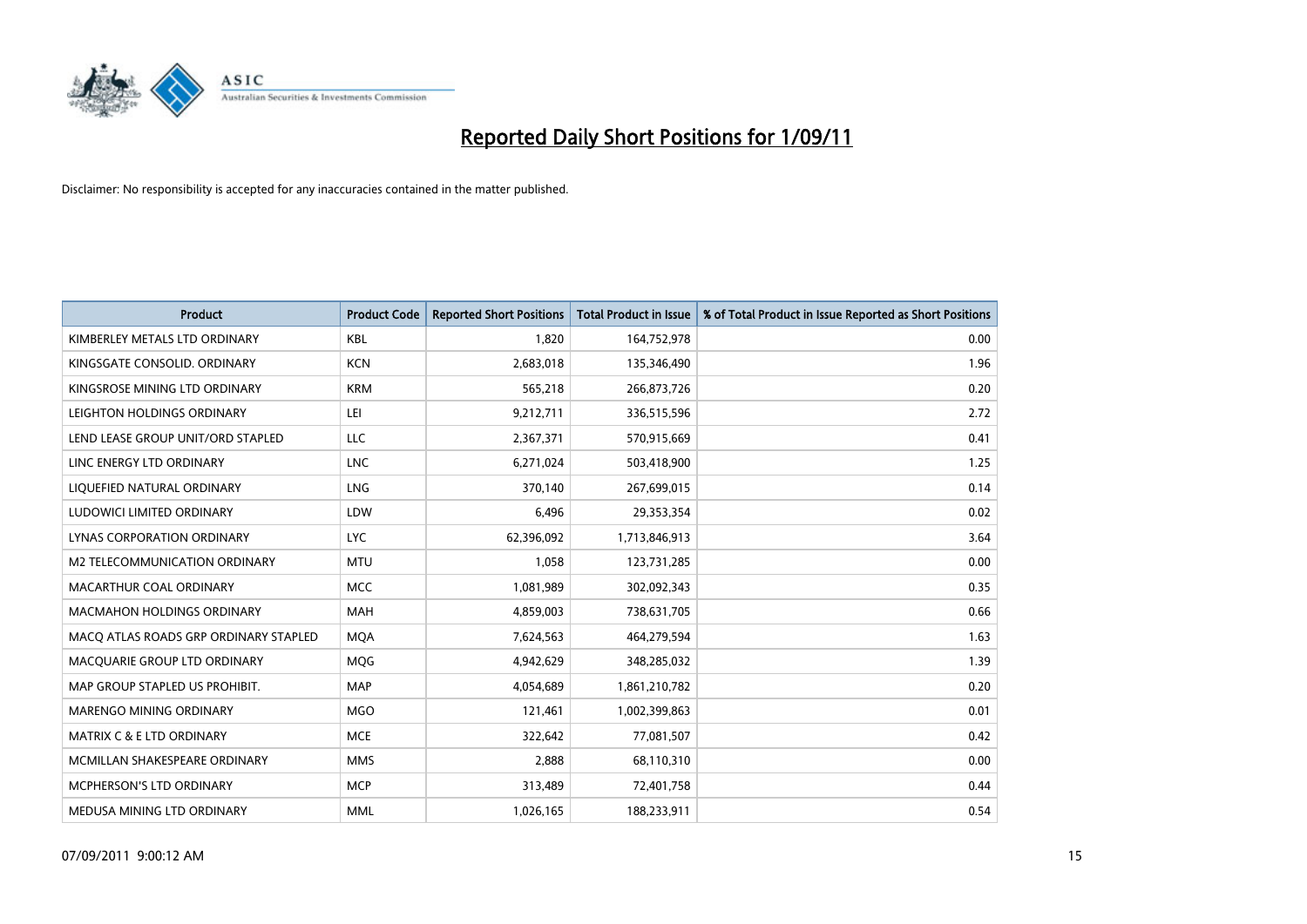

| <b>Product</b>                        | <b>Product Code</b> | <b>Reported Short Positions</b> | <b>Total Product in Issue</b> | % of Total Product in Issue Reported as Short Positions |
|---------------------------------------|---------------------|---------------------------------|-------------------------------|---------------------------------------------------------|
| KIMBERLEY METALS LTD ORDINARY         | <b>KBL</b>          | 1,820                           | 164,752,978                   | 0.00                                                    |
| KINGSGATE CONSOLID. ORDINARY          | <b>KCN</b>          | 2,683,018                       | 135,346,490                   | 1.96                                                    |
| KINGSROSE MINING LTD ORDINARY         | <b>KRM</b>          | 565,218                         | 266,873,726                   | 0.20                                                    |
| LEIGHTON HOLDINGS ORDINARY            | LEI                 | 9,212,711                       | 336,515,596                   | 2.72                                                    |
| LEND LEASE GROUP UNIT/ORD STAPLED     | <b>LLC</b>          | 2,367,371                       | 570,915,669                   | 0.41                                                    |
| LINC ENERGY LTD ORDINARY              | <b>LNC</b>          | 6,271,024                       | 503,418,900                   | 1.25                                                    |
| LIQUEFIED NATURAL ORDINARY            | LNG                 | 370,140                         | 267,699,015                   | 0.14                                                    |
| LUDOWICI LIMITED ORDINARY             | LDW                 | 6,496                           | 29,353,354                    | 0.02                                                    |
| LYNAS CORPORATION ORDINARY            | <b>LYC</b>          | 62,396,092                      | 1,713,846,913                 | 3.64                                                    |
| M2 TELECOMMUNICATION ORDINARY         | <b>MTU</b>          | 1,058                           | 123,731,285                   | 0.00                                                    |
| MACARTHUR COAL ORDINARY               | <b>MCC</b>          | 1,081,989                       | 302,092,343                   | 0.35                                                    |
| <b>MACMAHON HOLDINGS ORDINARY</b>     | MAH                 | 4,859,003                       | 738,631,705                   | 0.66                                                    |
| MACQ ATLAS ROADS GRP ORDINARY STAPLED | <b>MOA</b>          | 7,624,563                       | 464,279,594                   | 1.63                                                    |
| MACQUARIE GROUP LTD ORDINARY          | <b>MOG</b>          | 4,942,629                       | 348,285,032                   | 1.39                                                    |
| MAP GROUP STAPLED US PROHIBIT.        | <b>MAP</b>          | 4,054,689                       | 1,861,210,782                 | 0.20                                                    |
| MARENGO MINING ORDINARY               | <b>MGO</b>          | 121,461                         | 1,002,399,863                 | 0.01                                                    |
| <b>MATRIX C &amp; E LTD ORDINARY</b>  | <b>MCE</b>          | 322,642                         | 77,081,507                    | 0.42                                                    |
| MCMILLAN SHAKESPEARE ORDINARY         | <b>MMS</b>          | 2,888                           | 68,110,310                    | 0.00                                                    |
| <b>MCPHERSON'S LTD ORDINARY</b>       | <b>MCP</b>          | 313,489                         | 72,401,758                    | 0.44                                                    |
| MEDUSA MINING LTD ORDINARY            | <b>MML</b>          | 1,026,165                       | 188,233,911                   | 0.54                                                    |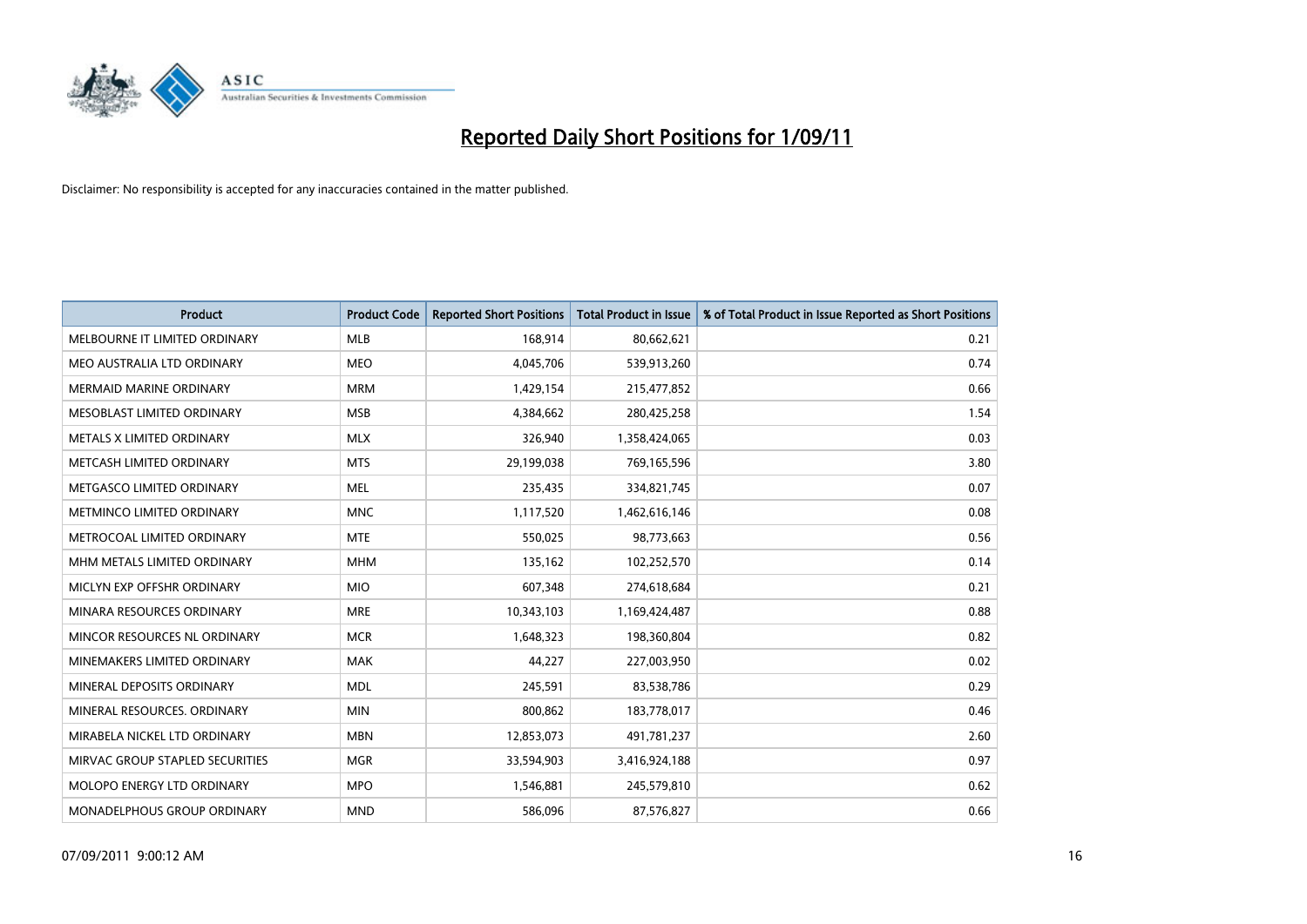

| <b>Product</b>                   | <b>Product Code</b> | <b>Reported Short Positions</b> | <b>Total Product in Issue</b> | % of Total Product in Issue Reported as Short Positions |
|----------------------------------|---------------------|---------------------------------|-------------------------------|---------------------------------------------------------|
| MELBOURNE IT LIMITED ORDINARY    | <b>MLB</b>          | 168,914                         | 80,662,621                    | 0.21                                                    |
| MEO AUSTRALIA LTD ORDINARY       | <b>MEO</b>          | 4,045,706                       | 539,913,260                   | 0.74                                                    |
| <b>MERMAID MARINE ORDINARY</b>   | <b>MRM</b>          | 1,429,154                       | 215,477,852                   | 0.66                                                    |
| MESOBLAST LIMITED ORDINARY       | <b>MSB</b>          | 4,384,662                       | 280,425,258                   | 1.54                                                    |
| METALS X LIMITED ORDINARY        | <b>MLX</b>          | 326,940                         | 1,358,424,065                 | 0.03                                                    |
| METCASH LIMITED ORDINARY         | <b>MTS</b>          | 29,199,038                      | 769,165,596                   | 3.80                                                    |
| METGASCO LIMITED ORDINARY        | <b>MEL</b>          | 235,435                         | 334,821,745                   | 0.07                                                    |
| <b>METMINCO LIMITED ORDINARY</b> | <b>MNC</b>          | 1,117,520                       | 1,462,616,146                 | 0.08                                                    |
| METROCOAL LIMITED ORDINARY       | <b>MTE</b>          | 550,025                         | 98,773,663                    | 0.56                                                    |
| MHM METALS LIMITED ORDINARY      | <b>MHM</b>          | 135,162                         | 102,252,570                   | 0.14                                                    |
| MICLYN EXP OFFSHR ORDINARY       | <b>MIO</b>          | 607,348                         | 274,618,684                   | 0.21                                                    |
| MINARA RESOURCES ORDINARY        | <b>MRE</b>          | 10,343,103                      | 1,169,424,487                 | 0.88                                                    |
| MINCOR RESOURCES NL ORDINARY     | <b>MCR</b>          | 1,648,323                       | 198,360,804                   | 0.82                                                    |
| MINEMAKERS LIMITED ORDINARY      | <b>MAK</b>          | 44,227                          | 227,003,950                   | 0.02                                                    |
| MINERAL DEPOSITS ORDINARY        | <b>MDL</b>          | 245,591                         | 83,538,786                    | 0.29                                                    |
| MINERAL RESOURCES, ORDINARY      | <b>MIN</b>          | 800,862                         | 183,778,017                   | 0.46                                                    |
| MIRABELA NICKEL LTD ORDINARY     | <b>MBN</b>          | 12,853,073                      | 491,781,237                   | 2.60                                                    |
| MIRVAC GROUP STAPLED SECURITIES  | <b>MGR</b>          | 33,594,903                      | 3,416,924,188                 | 0.97                                                    |
| MOLOPO ENERGY LTD ORDINARY       | <b>MPO</b>          | 1,546,881                       | 245,579,810                   | 0.62                                                    |
| MONADELPHOUS GROUP ORDINARY      | <b>MND</b>          | 586,096                         | 87,576,827                    | 0.66                                                    |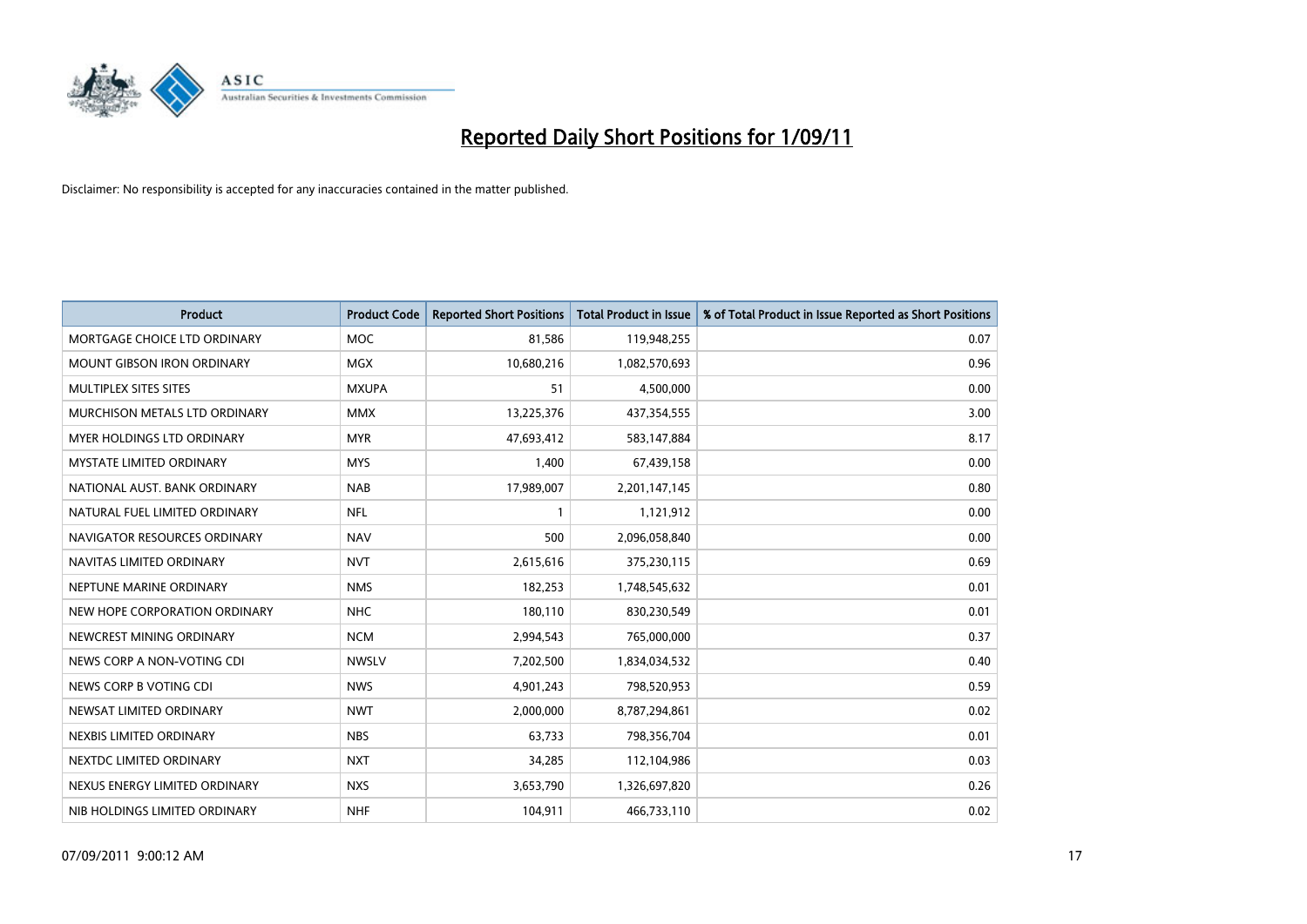

| <b>Product</b>                    | <b>Product Code</b> | <b>Reported Short Positions</b> | <b>Total Product in Issue</b> | % of Total Product in Issue Reported as Short Positions |
|-----------------------------------|---------------------|---------------------------------|-------------------------------|---------------------------------------------------------|
| MORTGAGE CHOICE LTD ORDINARY      | <b>MOC</b>          | 81,586                          | 119,948,255                   | 0.07                                                    |
| MOUNT GIBSON IRON ORDINARY        | <b>MGX</b>          | 10,680,216                      | 1,082,570,693                 | 0.96                                                    |
| MULTIPLEX SITES SITES             | <b>MXUPA</b>        | 51                              | 4,500,000                     | 0.00                                                    |
| MURCHISON METALS LTD ORDINARY     | <b>MMX</b>          | 13,225,376                      | 437,354,555                   | 3.00                                                    |
| <b>MYER HOLDINGS LTD ORDINARY</b> | <b>MYR</b>          | 47,693,412                      | 583,147,884                   | 8.17                                                    |
| <b>MYSTATE LIMITED ORDINARY</b>   | <b>MYS</b>          | 1,400                           | 67,439,158                    | 0.00                                                    |
| NATIONAL AUST. BANK ORDINARY      | <b>NAB</b>          | 17,989,007                      | 2,201,147,145                 | 0.80                                                    |
| NATURAL FUEL LIMITED ORDINARY     | <b>NFL</b>          |                                 | 1,121,912                     | 0.00                                                    |
| NAVIGATOR RESOURCES ORDINARY      | <b>NAV</b>          | 500                             | 2,096,058,840                 | 0.00                                                    |
| NAVITAS LIMITED ORDINARY          | <b>NVT</b>          | 2,615,616                       | 375,230,115                   | 0.69                                                    |
| NEPTUNE MARINE ORDINARY           | <b>NMS</b>          | 182,253                         | 1,748,545,632                 | 0.01                                                    |
| NEW HOPE CORPORATION ORDINARY     | <b>NHC</b>          | 180,110                         | 830,230,549                   | 0.01                                                    |
| NEWCREST MINING ORDINARY          | <b>NCM</b>          | 2,994,543                       | 765,000,000                   | 0.37                                                    |
| NEWS CORP A NON-VOTING CDI        | <b>NWSLV</b>        | 7,202,500                       | 1,834,034,532                 | 0.40                                                    |
| NEWS CORP B VOTING CDI            | <b>NWS</b>          | 4,901,243                       | 798,520,953                   | 0.59                                                    |
| NEWSAT LIMITED ORDINARY           | <b>NWT</b>          | 2,000,000                       | 8,787,294,861                 | 0.02                                                    |
| NEXBIS LIMITED ORDINARY           | <b>NBS</b>          | 63,733                          | 798,356,704                   | 0.01                                                    |
| NEXTDC LIMITED ORDINARY           | <b>NXT</b>          | 34,285                          | 112,104,986                   | 0.03                                                    |
| NEXUS ENERGY LIMITED ORDINARY     | <b>NXS</b>          | 3,653,790                       | 1,326,697,820                 | 0.26                                                    |
| NIB HOLDINGS LIMITED ORDINARY     | <b>NHF</b>          | 104,911                         | 466,733,110                   | 0.02                                                    |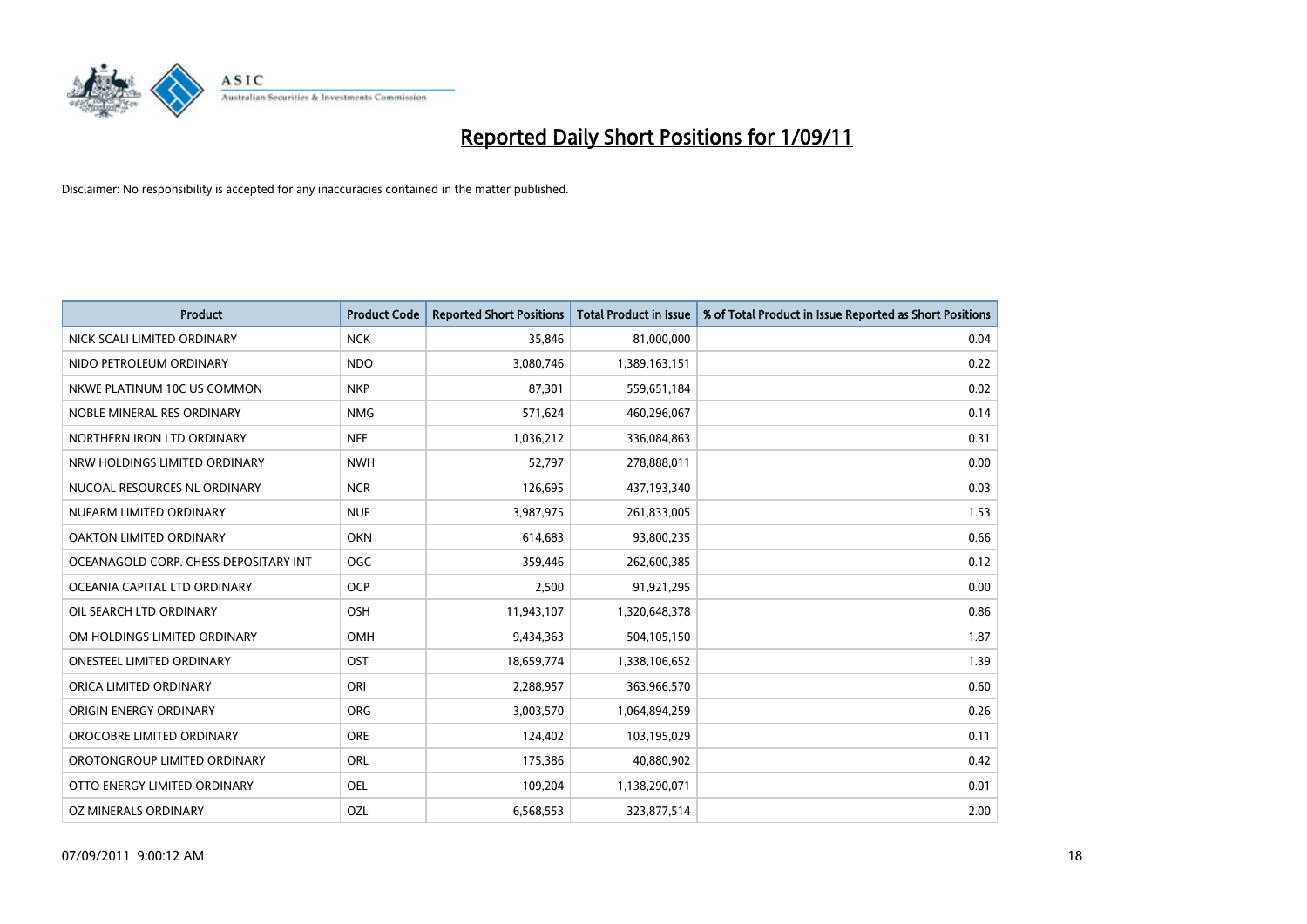

| Product                               | <b>Product Code</b> | <b>Reported Short Positions</b> | <b>Total Product in Issue</b> | % of Total Product in Issue Reported as Short Positions |
|---------------------------------------|---------------------|---------------------------------|-------------------------------|---------------------------------------------------------|
| NICK SCALI LIMITED ORDINARY           | <b>NCK</b>          | 35,846                          | 81,000,000                    | 0.04                                                    |
| NIDO PETROLEUM ORDINARY               | <b>NDO</b>          | 3,080,746                       | 1,389,163,151                 | 0.22                                                    |
| NKWE PLATINUM 10C US COMMON           | <b>NKP</b>          | 87,301                          | 559,651,184                   | 0.02                                                    |
| NOBLE MINERAL RES ORDINARY            | <b>NMG</b>          | 571,624                         | 460,296,067                   | 0.14                                                    |
| NORTHERN IRON LTD ORDINARY            | <b>NFE</b>          | 1,036,212                       | 336,084,863                   | 0.31                                                    |
| NRW HOLDINGS LIMITED ORDINARY         | <b>NWH</b>          | 52,797                          | 278,888,011                   | 0.00                                                    |
| NUCOAL RESOURCES NL ORDINARY          | <b>NCR</b>          | 126,695                         | 437,193,340                   | 0.03                                                    |
| NUFARM LIMITED ORDINARY               | <b>NUF</b>          | 3,987,975                       | 261,833,005                   | 1.53                                                    |
| OAKTON LIMITED ORDINARY               | <b>OKN</b>          | 614,683                         | 93,800,235                    | 0.66                                                    |
| OCEANAGOLD CORP. CHESS DEPOSITARY INT | <b>OGC</b>          | 359,446                         | 262,600,385                   | 0.12                                                    |
| OCEANIA CAPITAL LTD ORDINARY          | <b>OCP</b>          | 2,500                           | 91,921,295                    | 0.00                                                    |
| OIL SEARCH LTD ORDINARY               | OSH                 | 11,943,107                      | 1,320,648,378                 | 0.86                                                    |
| OM HOLDINGS LIMITED ORDINARY          | OMH                 | 9,434,363                       | 504,105,150                   | 1.87                                                    |
| <b>ONESTEEL LIMITED ORDINARY</b>      | OST                 | 18,659,774                      | 1,338,106,652                 | 1.39                                                    |
| ORICA LIMITED ORDINARY                | ORI                 | 2,288,957                       | 363,966,570                   | 0.60                                                    |
| ORIGIN ENERGY ORDINARY                | <b>ORG</b>          | 3,003,570                       | 1,064,894,259                 | 0.26                                                    |
| OROCOBRE LIMITED ORDINARY             | <b>ORE</b>          | 124,402                         | 103,195,029                   | 0.11                                                    |
| OROTONGROUP LIMITED ORDINARY          | <b>ORL</b>          | 175,386                         | 40,880,902                    | 0.42                                                    |
| OTTO ENERGY LIMITED ORDINARY          | <b>OEL</b>          | 109,204                         | 1,138,290,071                 | 0.01                                                    |
| OZ MINERALS ORDINARY                  | OZL                 | 6,568,553                       | 323,877,514                   | 2.00                                                    |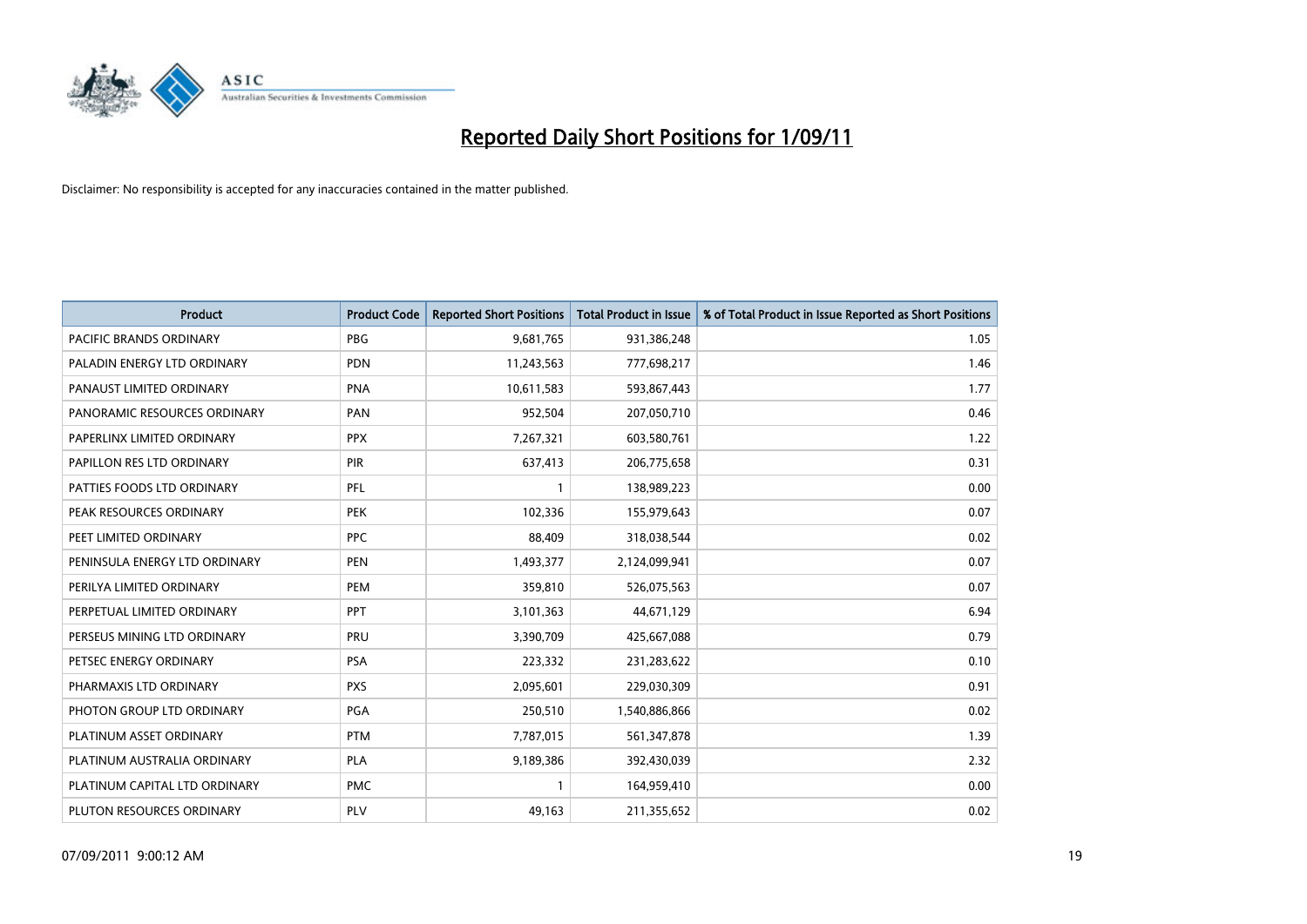

| <b>Product</b>                 | <b>Product Code</b> | <b>Reported Short Positions</b> | <b>Total Product in Issue</b> | % of Total Product in Issue Reported as Short Positions |
|--------------------------------|---------------------|---------------------------------|-------------------------------|---------------------------------------------------------|
| <b>PACIFIC BRANDS ORDINARY</b> | <b>PBG</b>          | 9,681,765                       | 931,386,248                   | 1.05                                                    |
| PALADIN ENERGY LTD ORDINARY    | <b>PDN</b>          | 11,243,563                      | 777,698,217                   | 1.46                                                    |
| PANAUST LIMITED ORDINARY       | <b>PNA</b>          | 10,611,583                      | 593,867,443                   | 1.77                                                    |
| PANORAMIC RESOURCES ORDINARY   | PAN                 | 952,504                         | 207,050,710                   | 0.46                                                    |
| PAPERLINX LIMITED ORDINARY     | <b>PPX</b>          | 7,267,321                       | 603,580,761                   | 1.22                                                    |
| PAPILLON RES LTD ORDINARY      | PIR                 | 637,413                         | 206,775,658                   | 0.31                                                    |
| PATTIES FOODS LTD ORDINARY     | PFL                 |                                 | 138,989,223                   | 0.00                                                    |
| PEAK RESOURCES ORDINARY        | <b>PEK</b>          | 102,336                         | 155,979,643                   | 0.07                                                    |
| PEET LIMITED ORDINARY          | <b>PPC</b>          | 88,409                          | 318,038,544                   | 0.02                                                    |
| PENINSULA ENERGY LTD ORDINARY  | <b>PEN</b>          | 1,493,377                       | 2,124,099,941                 | 0.07                                                    |
| PERILYA LIMITED ORDINARY       | PEM                 | 359,810                         | 526,075,563                   | 0.07                                                    |
| PERPETUAL LIMITED ORDINARY     | PPT                 | 3,101,363                       | 44,671,129                    | 6.94                                                    |
| PERSEUS MINING LTD ORDINARY    | PRU                 | 3,390,709                       | 425,667,088                   | 0.79                                                    |
| PETSEC ENERGY ORDINARY         | <b>PSA</b>          | 223,332                         | 231,283,622                   | 0.10                                                    |
| PHARMAXIS LTD ORDINARY         | <b>PXS</b>          | 2,095,601                       | 229,030,309                   | 0.91                                                    |
| PHOTON GROUP LTD ORDINARY      | <b>PGA</b>          | 250,510                         | 1,540,886,866                 | 0.02                                                    |
| PLATINUM ASSET ORDINARY        | <b>PTM</b>          | 7,787,015                       | 561,347,878                   | 1.39                                                    |
| PLATINUM AUSTRALIA ORDINARY    | <b>PLA</b>          | 9,189,386                       | 392,430,039                   | 2.32                                                    |
| PLATINUM CAPITAL LTD ORDINARY  | <b>PMC</b>          |                                 | 164,959,410                   | 0.00                                                    |
| PLUTON RESOURCES ORDINARY      | PLV                 | 49,163                          | 211,355,652                   | 0.02                                                    |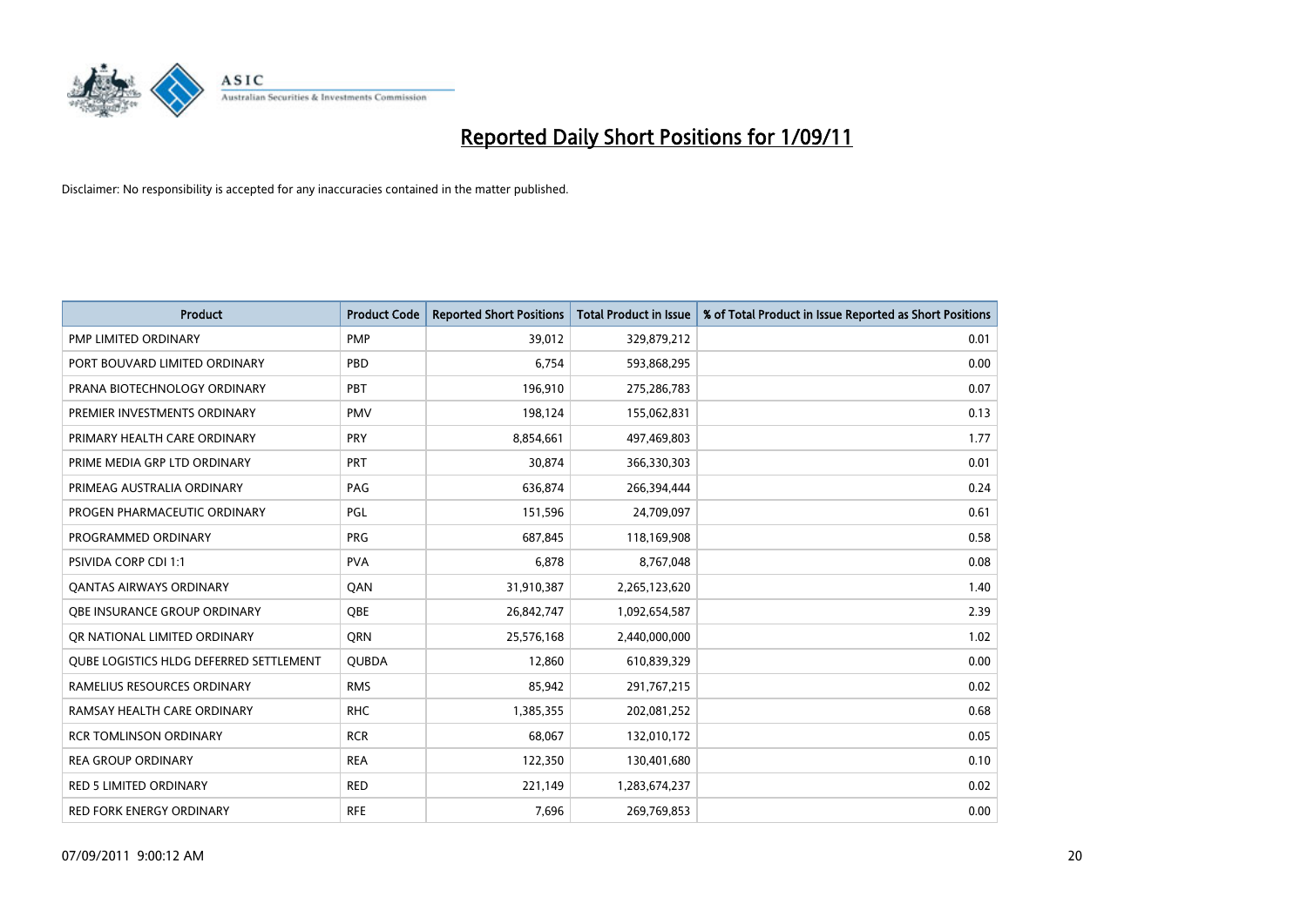

| <b>Product</b>                                 | <b>Product Code</b> | <b>Reported Short Positions</b> | <b>Total Product in Issue</b> | % of Total Product in Issue Reported as Short Positions |
|------------------------------------------------|---------------------|---------------------------------|-------------------------------|---------------------------------------------------------|
| PMP LIMITED ORDINARY                           | <b>PMP</b>          | 39,012                          | 329,879,212                   | 0.01                                                    |
| PORT BOUVARD LIMITED ORDINARY                  | PBD                 | 6,754                           | 593,868,295                   | 0.00                                                    |
| PRANA BIOTECHNOLOGY ORDINARY                   | PBT                 | 196,910                         | 275,286,783                   | 0.07                                                    |
| PREMIER INVESTMENTS ORDINARY                   | <b>PMV</b>          | 198,124                         | 155,062,831                   | 0.13                                                    |
| PRIMARY HEALTH CARE ORDINARY                   | <b>PRY</b>          | 8,854,661                       | 497,469,803                   | 1.77                                                    |
| PRIME MEDIA GRP LTD ORDINARY                   | PRT                 | 30,874                          | 366,330,303                   | 0.01                                                    |
| PRIMEAG AUSTRALIA ORDINARY                     | PAG                 | 636,874                         | 266,394,444                   | 0.24                                                    |
| PROGEN PHARMACEUTIC ORDINARY                   | PGL                 | 151,596                         | 24,709,097                    | 0.61                                                    |
| PROGRAMMED ORDINARY                            | <b>PRG</b>          | 687,845                         | 118,169,908                   | 0.58                                                    |
| <b>PSIVIDA CORP CDI 1:1</b>                    | <b>PVA</b>          | 6,878                           | 8,767,048                     | 0.08                                                    |
| <b>QANTAS AIRWAYS ORDINARY</b>                 | QAN                 | 31,910,387                      | 2,265,123,620                 | 1.40                                                    |
| <b>QBE INSURANCE GROUP ORDINARY</b>            | <b>OBE</b>          | 26,842,747                      | 1,092,654,587                 | 2.39                                                    |
| OR NATIONAL LIMITED ORDINARY                   | <b>ORN</b>          | 25,576,168                      | 2,440,000,000                 | 1.02                                                    |
| <b>OUBE LOGISTICS HLDG DEFERRED SETTLEMENT</b> | <b>QUBDA</b>        | 12,860                          | 610,839,329                   | 0.00                                                    |
| RAMELIUS RESOURCES ORDINARY                    | <b>RMS</b>          | 85,942                          | 291,767,215                   | 0.02                                                    |
| RAMSAY HEALTH CARE ORDINARY                    | <b>RHC</b>          | 1,385,355                       | 202,081,252                   | 0.68                                                    |
| <b>RCR TOMLINSON ORDINARY</b>                  | <b>RCR</b>          | 68,067                          | 132,010,172                   | 0.05                                                    |
| <b>REA GROUP ORDINARY</b>                      | <b>REA</b>          | 122,350                         | 130,401,680                   | 0.10                                                    |
| <b>RED 5 LIMITED ORDINARY</b>                  | <b>RED</b>          | 221,149                         | 1,283,674,237                 | 0.02                                                    |
| RED FORK ENERGY ORDINARY                       | <b>RFE</b>          | 7,696                           | 269,769,853                   | 0.00                                                    |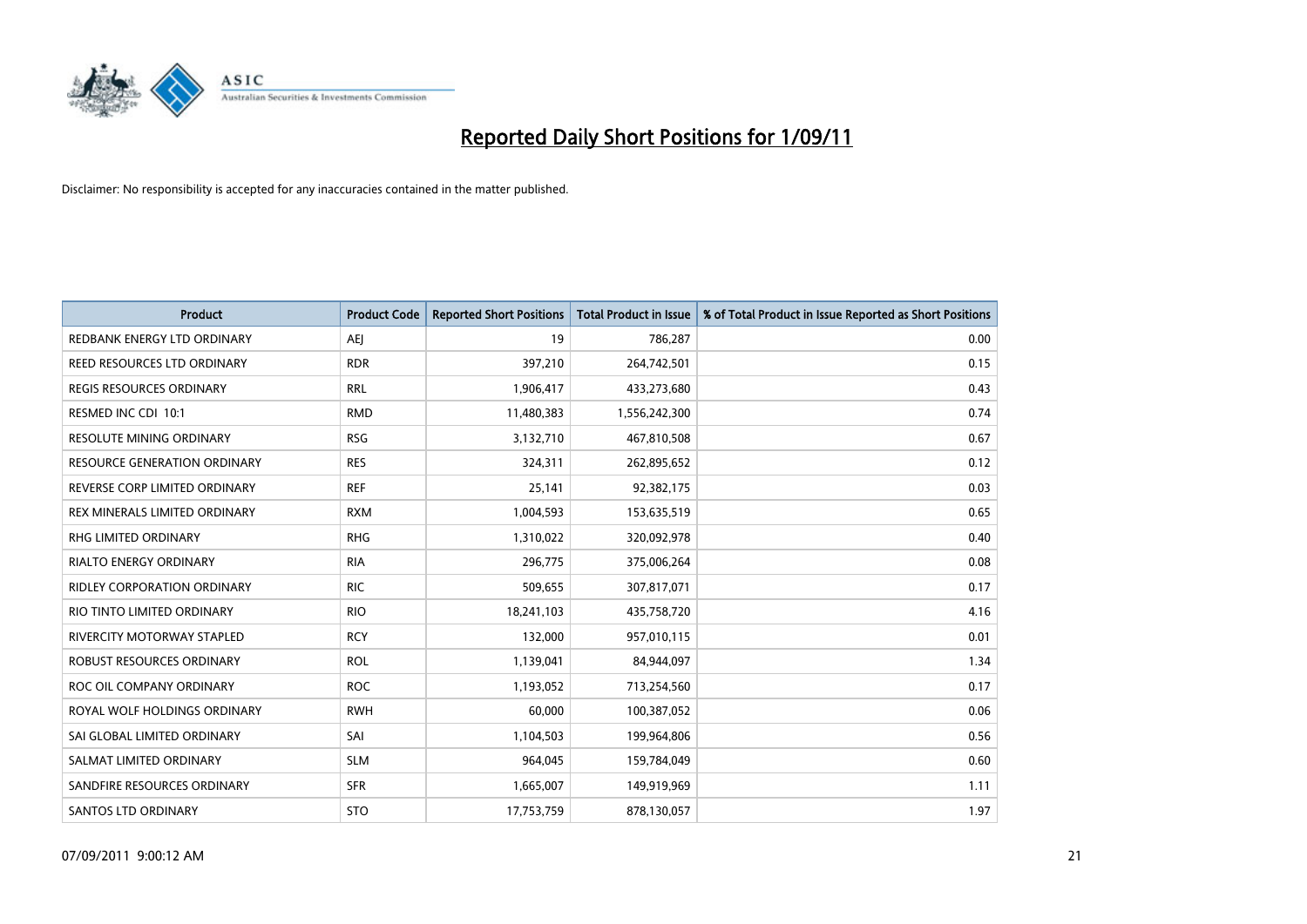

| Product                             | <b>Product Code</b> | <b>Reported Short Positions</b> | <b>Total Product in Issue</b> | % of Total Product in Issue Reported as Short Positions |
|-------------------------------------|---------------------|---------------------------------|-------------------------------|---------------------------------------------------------|
| REDBANK ENERGY LTD ORDINARY         | <b>AEI</b>          | 19                              | 786,287                       | 0.00                                                    |
| REED RESOURCES LTD ORDINARY         | <b>RDR</b>          | 397,210                         | 264,742,501                   | 0.15                                                    |
| <b>REGIS RESOURCES ORDINARY</b>     | <b>RRL</b>          | 1,906,417                       | 433,273,680                   | 0.43                                                    |
| RESMED INC CDI 10:1                 | <b>RMD</b>          | 11,480,383                      | 1,556,242,300                 | 0.74                                                    |
| <b>RESOLUTE MINING ORDINARY</b>     | <b>RSG</b>          | 3,132,710                       | 467,810,508                   | 0.67                                                    |
| <b>RESOURCE GENERATION ORDINARY</b> | <b>RES</b>          | 324,311                         | 262,895,652                   | 0.12                                                    |
| REVERSE CORP LIMITED ORDINARY       | <b>REF</b>          | 25,141                          | 92,382,175                    | 0.03                                                    |
| REX MINERALS LIMITED ORDINARY       | <b>RXM</b>          | 1,004,593                       | 153,635,519                   | 0.65                                                    |
| RHG LIMITED ORDINARY                | <b>RHG</b>          | 1,310,022                       | 320,092,978                   | 0.40                                                    |
| <b>RIALTO ENERGY ORDINARY</b>       | <b>RIA</b>          | 296,775                         | 375,006,264                   | 0.08                                                    |
| <b>RIDLEY CORPORATION ORDINARY</b>  | <b>RIC</b>          | 509,655                         | 307,817,071                   | 0.17                                                    |
| RIO TINTO LIMITED ORDINARY          | <b>RIO</b>          | 18,241,103                      | 435,758,720                   | 4.16                                                    |
| <b>RIVERCITY MOTORWAY STAPLED</b>   | <b>RCY</b>          | 132,000                         | 957,010,115                   | 0.01                                                    |
| ROBUST RESOURCES ORDINARY           | <b>ROL</b>          | 1,139,041                       | 84,944,097                    | 1.34                                                    |
| ROC OIL COMPANY ORDINARY            | <b>ROC</b>          | 1,193,052                       | 713,254,560                   | 0.17                                                    |
| ROYAL WOLF HOLDINGS ORDINARY        | <b>RWH</b>          | 60,000                          | 100,387,052                   | 0.06                                                    |
| SAI GLOBAL LIMITED ORDINARY         | SAI                 | 1,104,503                       | 199,964,806                   | 0.56                                                    |
| SALMAT LIMITED ORDINARY             | <b>SLM</b>          | 964,045                         | 159,784,049                   | 0.60                                                    |
| SANDFIRE RESOURCES ORDINARY         | <b>SFR</b>          | 1,665,007                       | 149,919,969                   | 1.11                                                    |
| <b>SANTOS LTD ORDINARY</b>          | <b>STO</b>          | 17,753,759                      | 878,130,057                   | 1.97                                                    |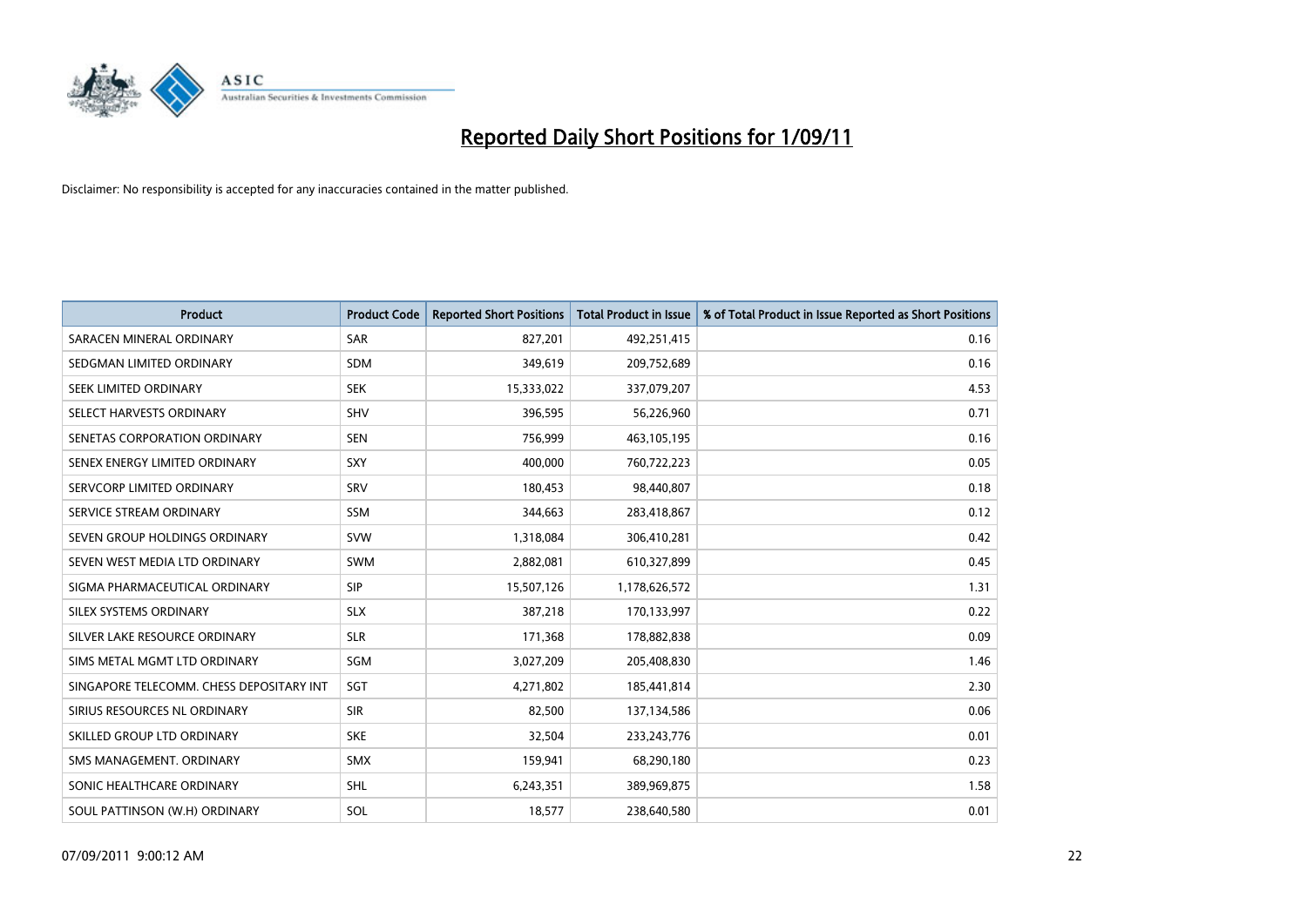

| Product                                  | <b>Product Code</b> | <b>Reported Short Positions</b> | <b>Total Product in Issue</b> | % of Total Product in Issue Reported as Short Positions |
|------------------------------------------|---------------------|---------------------------------|-------------------------------|---------------------------------------------------------|
| SARACEN MINERAL ORDINARY                 | <b>SAR</b>          | 827,201                         | 492,251,415                   | 0.16                                                    |
| SEDGMAN LIMITED ORDINARY                 | <b>SDM</b>          | 349,619                         | 209,752,689                   | 0.16                                                    |
| SEEK LIMITED ORDINARY                    | <b>SEK</b>          | 15,333,022                      | 337,079,207                   | 4.53                                                    |
| SELECT HARVESTS ORDINARY                 | <b>SHV</b>          | 396,595                         | 56,226,960                    | 0.71                                                    |
| SENETAS CORPORATION ORDINARY             | <b>SEN</b>          | 756,999                         | 463,105,195                   | 0.16                                                    |
| SENEX ENERGY LIMITED ORDINARY            | SXY                 | 400,000                         | 760,722,223                   | 0.05                                                    |
| SERVCORP LIMITED ORDINARY                | SRV                 | 180,453                         | 98,440,807                    | 0.18                                                    |
| SERVICE STREAM ORDINARY                  | <b>SSM</b>          | 344,663                         | 283,418,867                   | 0.12                                                    |
| SEVEN GROUP HOLDINGS ORDINARY            | <b>SVW</b>          | 1,318,084                       | 306,410,281                   | 0.42                                                    |
| SEVEN WEST MEDIA LTD ORDINARY            | <b>SWM</b>          | 2,882,081                       | 610,327,899                   | 0.45                                                    |
| SIGMA PHARMACEUTICAL ORDINARY            | <b>SIP</b>          | 15,507,126                      | 1,178,626,572                 | 1.31                                                    |
| SILEX SYSTEMS ORDINARY                   | <b>SLX</b>          | 387,218                         | 170,133,997                   | 0.22                                                    |
| SILVER LAKE RESOURCE ORDINARY            | <b>SLR</b>          | 171,368                         | 178,882,838                   | 0.09                                                    |
| SIMS METAL MGMT LTD ORDINARY             | <b>SGM</b>          | 3,027,209                       | 205,408,830                   | 1.46                                                    |
| SINGAPORE TELECOMM. CHESS DEPOSITARY INT | SGT                 | 4,271,802                       | 185,441,814                   | 2.30                                                    |
| SIRIUS RESOURCES NL ORDINARY             | <b>SIR</b>          | 82,500                          | 137,134,586                   | 0.06                                                    |
| SKILLED GROUP LTD ORDINARY               | <b>SKE</b>          | 32,504                          | 233, 243, 776                 | 0.01                                                    |
| SMS MANAGEMENT. ORDINARY                 | <b>SMX</b>          | 159,941                         | 68,290,180                    | 0.23                                                    |
| SONIC HEALTHCARE ORDINARY                | <b>SHL</b>          | 6,243,351                       | 389,969,875                   | 1.58                                                    |
| SOUL PATTINSON (W.H) ORDINARY            | SOL                 | 18,577                          | 238,640,580                   | 0.01                                                    |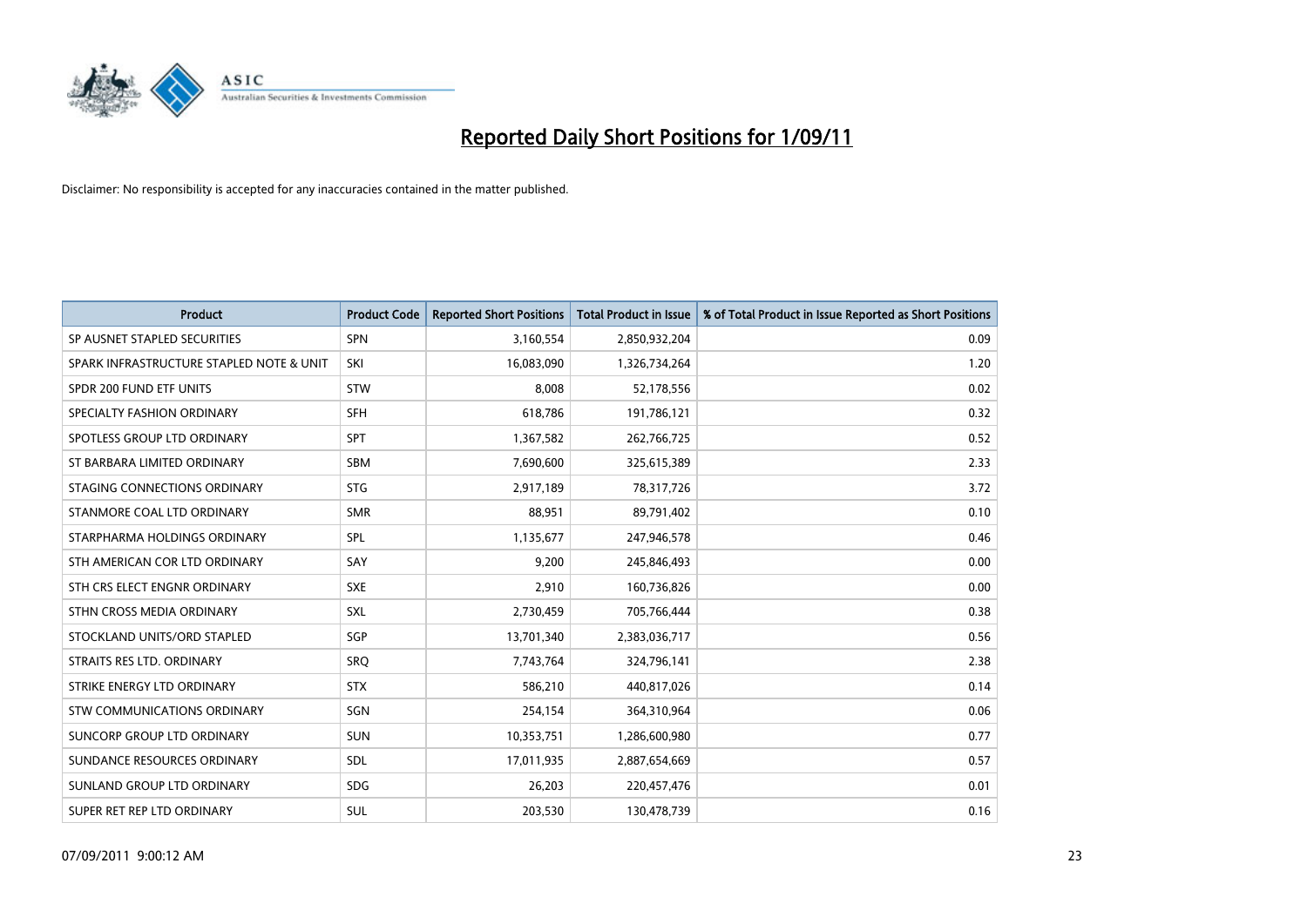

| Product                                  | <b>Product Code</b> | <b>Reported Short Positions</b> | <b>Total Product in Issue</b> | % of Total Product in Issue Reported as Short Positions |
|------------------------------------------|---------------------|---------------------------------|-------------------------------|---------------------------------------------------------|
| SP AUSNET STAPLED SECURITIES             | <b>SPN</b>          | 3,160,554                       | 2,850,932,204                 | 0.09                                                    |
| SPARK INFRASTRUCTURE STAPLED NOTE & UNIT | SKI                 | 16,083,090                      | 1,326,734,264                 | 1.20                                                    |
| SPDR 200 FUND ETF UNITS                  | <b>STW</b>          | 8,008                           | 52,178,556                    | 0.02                                                    |
| SPECIALTY FASHION ORDINARY               | <b>SFH</b>          | 618,786                         | 191,786,121                   | 0.32                                                    |
| SPOTLESS GROUP LTD ORDINARY              | <b>SPT</b>          | 1,367,582                       | 262,766,725                   | 0.52                                                    |
| ST BARBARA LIMITED ORDINARY              | <b>SBM</b>          | 7,690,600                       | 325,615,389                   | 2.33                                                    |
| STAGING CONNECTIONS ORDINARY             | <b>STG</b>          | 2,917,189                       | 78,317,726                    | 3.72                                                    |
| STANMORE COAL LTD ORDINARY               | <b>SMR</b>          | 88,951                          | 89,791,402                    | 0.10                                                    |
| STARPHARMA HOLDINGS ORDINARY             | SPL                 | 1,135,677                       | 247,946,578                   | 0.46                                                    |
| STH AMERICAN COR LTD ORDINARY            | SAY                 | 9,200                           | 245,846,493                   | 0.00                                                    |
| STH CRS ELECT ENGNR ORDINARY             | <b>SXE</b>          | 2,910                           | 160,736,826                   | 0.00                                                    |
| STHN CROSS MEDIA ORDINARY                | <b>SXL</b>          | 2,730,459                       | 705,766,444                   | 0.38                                                    |
| STOCKLAND UNITS/ORD STAPLED              | SGP                 | 13,701,340                      | 2,383,036,717                 | 0.56                                                    |
| STRAITS RES LTD. ORDINARY                | <b>SRQ</b>          | 7,743,764                       | 324,796,141                   | 2.38                                                    |
| STRIKE ENERGY LTD ORDINARY               | <b>STX</b>          | 586,210                         | 440,817,026                   | 0.14                                                    |
| <b>STW COMMUNICATIONS ORDINARY</b>       | SGN                 | 254,154                         | 364,310,964                   | 0.06                                                    |
| SUNCORP GROUP LTD ORDINARY               | <b>SUN</b>          | 10,353,751                      | 1,286,600,980                 | 0.77                                                    |
| SUNDANCE RESOURCES ORDINARY              | <b>SDL</b>          | 17,011,935                      | 2,887,654,669                 | 0.57                                                    |
| SUNLAND GROUP LTD ORDINARY               | <b>SDG</b>          | 26,203                          | 220,457,476                   | 0.01                                                    |
| SUPER RET REP LTD ORDINARY               | SUL                 | 203,530                         | 130,478,739                   | 0.16                                                    |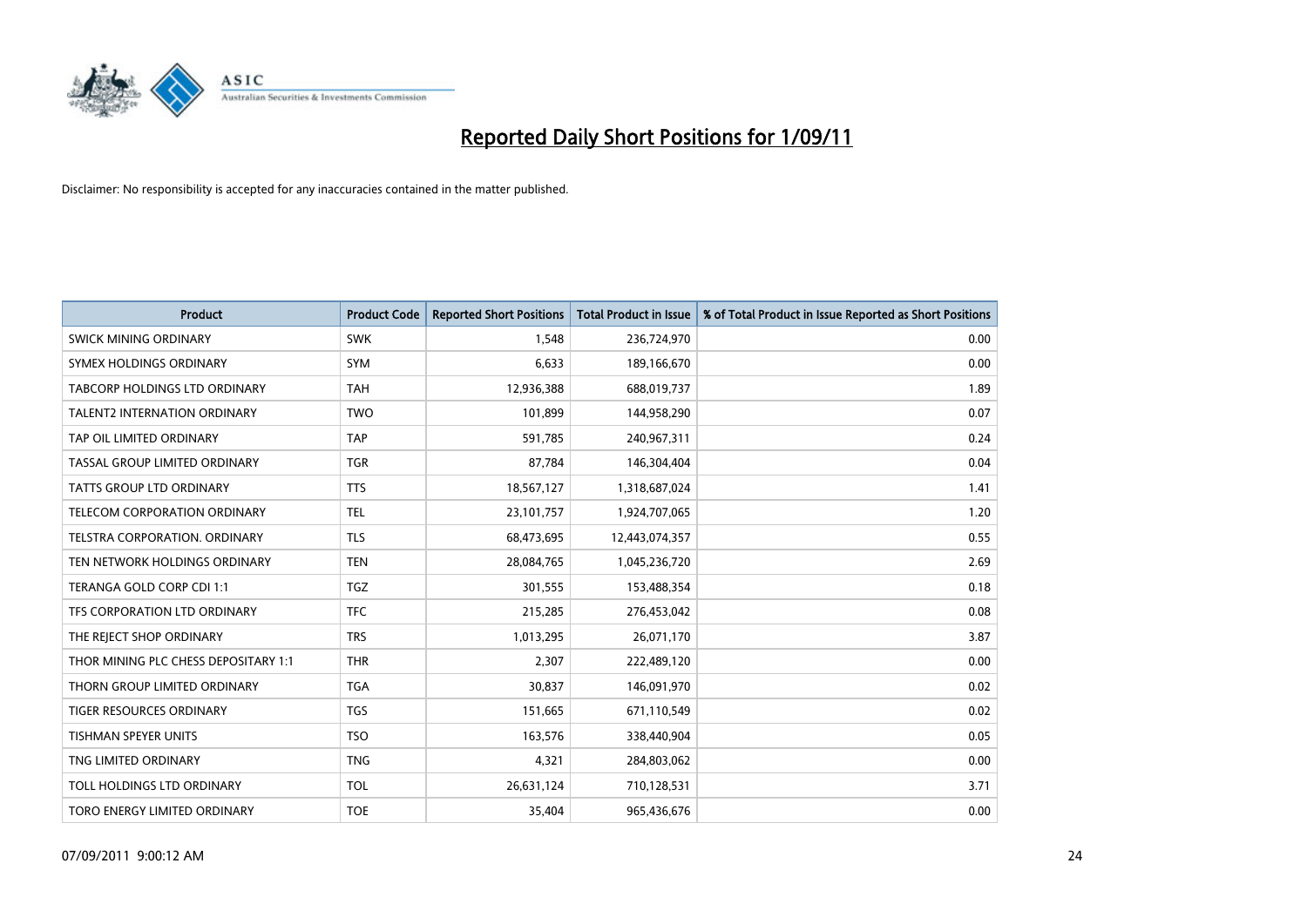

| Product                              | <b>Product Code</b> | <b>Reported Short Positions</b> | <b>Total Product in Issue</b> | % of Total Product in Issue Reported as Short Positions |
|--------------------------------------|---------------------|---------------------------------|-------------------------------|---------------------------------------------------------|
| <b>SWICK MINING ORDINARY</b>         | <b>SWK</b>          | 1,548                           | 236,724,970                   | 0.00                                                    |
| SYMEX HOLDINGS ORDINARY              | <b>SYM</b>          | 6,633                           | 189,166,670                   | 0.00                                                    |
| <b>TABCORP HOLDINGS LTD ORDINARY</b> | <b>TAH</b>          | 12,936,388                      | 688,019,737                   | 1.89                                                    |
| TALENT2 INTERNATION ORDINARY         | <b>TWO</b>          | 101,899                         | 144,958,290                   | 0.07                                                    |
| TAP OIL LIMITED ORDINARY             | <b>TAP</b>          | 591,785                         | 240,967,311                   | 0.24                                                    |
| TASSAL GROUP LIMITED ORDINARY        | <b>TGR</b>          | 87,784                          | 146,304,404                   | 0.04                                                    |
| <b>TATTS GROUP LTD ORDINARY</b>      | <b>TTS</b>          | 18,567,127                      | 1,318,687,024                 | 1.41                                                    |
| <b>TELECOM CORPORATION ORDINARY</b>  | <b>TEL</b>          | 23,101,757                      | 1,924,707,065                 | 1.20                                                    |
| TELSTRA CORPORATION. ORDINARY        | <b>TLS</b>          | 68,473,695                      | 12,443,074,357                | 0.55                                                    |
| TEN NETWORK HOLDINGS ORDINARY        | <b>TEN</b>          | 28,084,765                      | 1,045,236,720                 | 2.69                                                    |
| TERANGA GOLD CORP CDI 1:1            | <b>TGZ</b>          | 301,555                         | 153,488,354                   | 0.18                                                    |
| TFS CORPORATION LTD ORDINARY         | <b>TFC</b>          | 215,285                         | 276,453,042                   | 0.08                                                    |
| THE REJECT SHOP ORDINARY             | <b>TRS</b>          | 1,013,295                       | 26,071,170                    | 3.87                                                    |
| THOR MINING PLC CHESS DEPOSITARY 1:1 | <b>THR</b>          | 2,307                           | 222,489,120                   | 0.00                                                    |
| THORN GROUP LIMITED ORDINARY         | <b>TGA</b>          | 30,837                          | 146,091,970                   | 0.02                                                    |
| <b>TIGER RESOURCES ORDINARY</b>      | <b>TGS</b>          | 151,665                         | 671,110,549                   | 0.02                                                    |
| <b>TISHMAN SPEYER UNITS</b>          | <b>TSO</b>          | 163,576                         | 338,440,904                   | 0.05                                                    |
| TNG LIMITED ORDINARY                 | <b>TNG</b>          | 4,321                           | 284,803,062                   | 0.00                                                    |
| TOLL HOLDINGS LTD ORDINARY           | <b>TOL</b>          | 26,631,124                      | 710,128,531                   | 3.71                                                    |
| TORO ENERGY LIMITED ORDINARY         | <b>TOE</b>          | 35,404                          | 965,436,676                   | 0.00                                                    |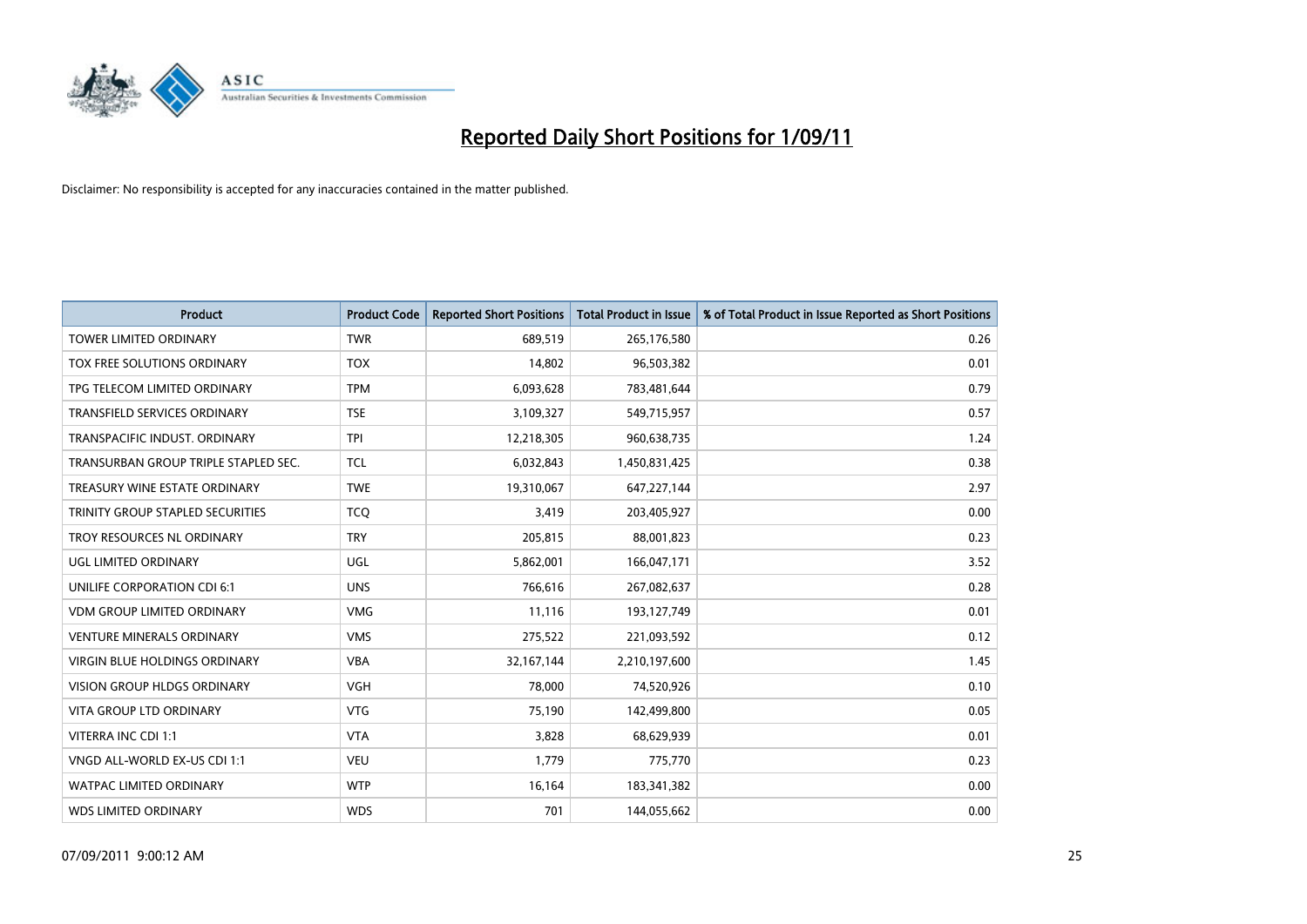

| Product                              | <b>Product Code</b> | <b>Reported Short Positions</b> | <b>Total Product in Issue</b> | % of Total Product in Issue Reported as Short Positions |
|--------------------------------------|---------------------|---------------------------------|-------------------------------|---------------------------------------------------------|
| <b>TOWER LIMITED ORDINARY</b>        | <b>TWR</b>          | 689,519                         | 265,176,580                   | 0.26                                                    |
| TOX FREE SOLUTIONS ORDINARY          | <b>TOX</b>          | 14,802                          | 96,503,382                    | 0.01                                                    |
| TPG TELECOM LIMITED ORDINARY         | <b>TPM</b>          | 6,093,628                       | 783,481,644                   | 0.79                                                    |
| TRANSFIELD SERVICES ORDINARY         | <b>TSE</b>          | 3,109,327                       | 549,715,957                   | 0.57                                                    |
| TRANSPACIFIC INDUST, ORDINARY        | <b>TPI</b>          | 12,218,305                      | 960,638,735                   | 1.24                                                    |
| TRANSURBAN GROUP TRIPLE STAPLED SEC. | <b>TCL</b>          | 6,032,843                       | 1,450,831,425                 | 0.38                                                    |
| TREASURY WINE ESTATE ORDINARY        | <b>TWE</b>          | 19,310,067                      | 647,227,144                   | 2.97                                                    |
| TRINITY GROUP STAPLED SECURITIES     | <b>TCQ</b>          | 3,419                           | 203,405,927                   | 0.00                                                    |
| TROY RESOURCES NL ORDINARY           | <b>TRY</b>          | 205,815                         | 88,001,823                    | 0.23                                                    |
| <b>UGL LIMITED ORDINARY</b>          | <b>UGL</b>          | 5,862,001                       | 166,047,171                   | 3.52                                                    |
| UNILIFE CORPORATION CDI 6:1          | <b>UNS</b>          | 766,616                         | 267,082,637                   | 0.28                                                    |
| <b>VDM GROUP LIMITED ORDINARY</b>    | <b>VMG</b>          | 11,116                          | 193,127,749                   | 0.01                                                    |
| <b>VENTURE MINERALS ORDINARY</b>     | <b>VMS</b>          | 275,522                         | 221,093,592                   | 0.12                                                    |
| <b>VIRGIN BLUE HOLDINGS ORDINARY</b> | <b>VBA</b>          | 32,167,144                      | 2,210,197,600                 | 1.45                                                    |
| <b>VISION GROUP HLDGS ORDINARY</b>   | <b>VGH</b>          | 78,000                          | 74,520,926                    | 0.10                                                    |
| VITA GROUP LTD ORDINARY              | <b>VTG</b>          | 75,190                          | 142,499,800                   | 0.05                                                    |
| VITERRA INC CDI 1:1                  | <b>VTA</b>          | 3,828                           | 68,629,939                    | 0.01                                                    |
| VNGD ALL-WORLD EX-US CDI 1:1         | <b>VEU</b>          | 1,779                           | 775,770                       | 0.23                                                    |
| <b>WATPAC LIMITED ORDINARY</b>       | <b>WTP</b>          | 16,164                          | 183,341,382                   | 0.00                                                    |
| <b>WDS LIMITED ORDINARY</b>          | <b>WDS</b>          | 701                             | 144,055,662                   | 0.00                                                    |